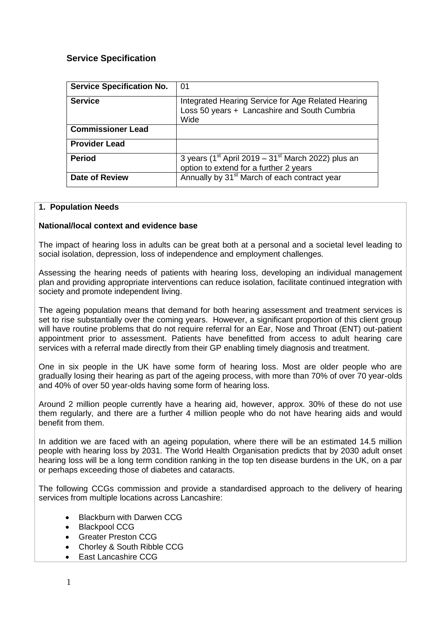# **Service Specification**

| <b>Service Specification No.</b> | 01                                                                                                         |
|----------------------------------|------------------------------------------------------------------------------------------------------------|
| <b>Service</b>                   | Integrated Hearing Service for Age Related Hearing<br>Loss 50 years + Lancashire and South Cumbria<br>Wide |
| <b>Commissioner Lead</b>         |                                                                                                            |
| <b>Provider Lead</b>             |                                                                                                            |
| <b>Period</b>                    | 3 years ( $1st$ April 2019 – $31st$ March 2022) plus an<br>option to extend for a further 2 years          |
| <b>Date of Review</b>            | Annually by 31 <sup>st</sup> March of each contract year                                                   |

#### **1. Population Needs**

#### **National/local context and evidence base**

The impact of hearing loss in adults can be great both at a personal and a societal level leading to social isolation, depression, loss of independence and employment challenges.

Assessing the hearing needs of patients with hearing loss, developing an individual management plan and providing appropriate interventions can reduce isolation, facilitate continued integration with society and promote independent living.

The ageing population means that demand for both hearing assessment and treatment services is set to rise substantially over the coming years. However, a significant proportion of this client group will have routine problems that do not require referral for an Ear, Nose and Throat (ENT) out-patient appointment prior to assessment. Patients have benefitted from access to adult hearing care services with a referral made directly from their GP enabling timely diagnosis and treatment.

One in six people in the UK have some form of hearing loss. Most are older people who are gradually losing their hearing as part of the ageing process, with more than 70% of over 70 year-olds and 40% of over 50 year-olds having some form of hearing loss.

Around 2 million people currently have a hearing aid, however, approx. 30% of these do not use them regularly, and there are a further 4 million people who do not have hearing aids and would benefit from them.

In addition we are faced with an ageing population, where there will be an estimated 14.5 million people with hearing loss by 2031. The World Health Organisation predicts that by 2030 adult onset hearing loss will be a long term condition ranking in the top ten disease burdens in the UK, on a par or perhaps exceeding those of diabetes and cataracts.

The following CCGs commission and provide a standardised approach to the delivery of hearing services from multiple locations across Lancashire:

- Blackburn with Darwen CCG
- Blackpool CCG
- Greater Preston CCG
- Chorley & South Ribble CCG
- East Lancashire CCG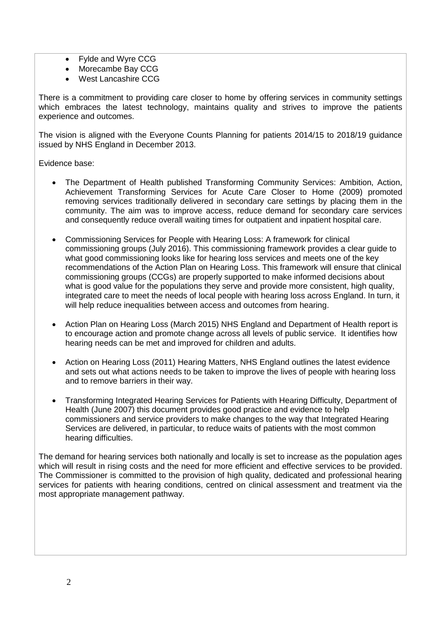- Fylde and Wyre CCG
- Morecambe Bay CCG
- West Lancashire CCG

There is a commitment to providing care closer to home by offering services in community settings which embraces the latest technology, maintains quality and strives to improve the patients experience and outcomes.

The vision is aligned with the Everyone Counts Planning for patients 2014/15 to 2018/19 guidance issued by NHS England in December 2013.

Evidence base:

- The Department of Health published Transforming Community Services: Ambition, Action, Achievement Transforming Services for Acute Care Closer to Home (2009) promoted removing services traditionally delivered in secondary care settings by placing them in the community. The aim was to improve access, reduce demand for secondary care services and consequently reduce overall waiting times for outpatient and inpatient hospital care.
- Commissioning Services for People with Hearing Loss: A framework for clinical commissioning groups (July 2016). This commissioning framework provides a clear guide to what good commissioning looks like for hearing loss services and meets one of the key recommendations of the Action Plan on Hearing Loss. This framework will ensure that clinical commissioning groups (CCGs) are properly supported to make informed decisions about what is good value for the populations they serve and provide more consistent, high quality, integrated care to meet the needs of local people with hearing loss across England. In turn, it will help reduce inequalities between access and outcomes from hearing.
- Action Plan on Hearing Loss (March 2015) NHS England and Department of Health report is to encourage action and promote change across all levels of public service. It identifies how hearing needs can be met and improved for children and adults.
- Action on Hearing Loss (2011) Hearing Matters, NHS England outlines the latest evidence and sets out what actions needs to be taken to improve the lives of people with hearing loss and to remove barriers in their way.
- Transforming Integrated Hearing Services for Patients with Hearing Difficulty, Department of Health (June 2007) this document provides good practice and evidence to help commissioners and service providers to make changes to the way that Integrated Hearing Services are delivered, in particular, to reduce waits of patients with the most common hearing difficulties.

The demand for hearing services both nationally and locally is set to increase as the population ages which will result in rising costs and the need for more efficient and effective services to be provided. The Commissioner is committed to the provision of high quality, dedicated and professional hearing services for patients with hearing conditions, centred on clinical assessment and treatment via the most appropriate management pathway.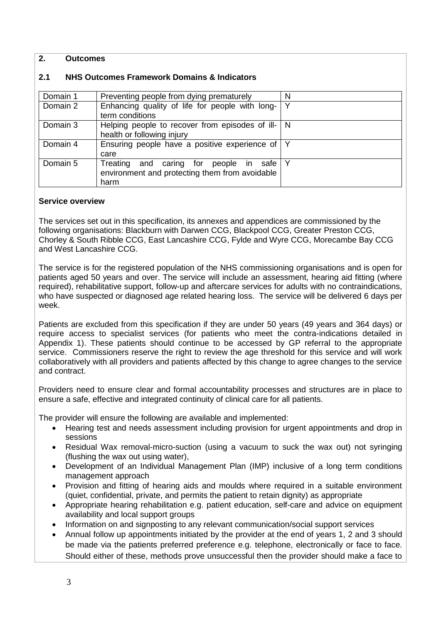#### **2. Outcomes**

#### **2.1 NHS Outcomes Framework Domains & Indicators**

| Domain 1 | Preventing people from dying prematurely                                                               | N            |
|----------|--------------------------------------------------------------------------------------------------------|--------------|
| Domain 2 | Enhancing quality of life for people with long-<br>term conditions                                     | $\checkmark$ |
| Domain 3 | Helping people to recover from episodes of ill- $\vert$ N<br>health or following injury                |              |
| Domain 4 | Ensuring people have a positive experience of<br>care                                                  |              |
| Domain 5 | Treating<br>and caring for<br>people in safe<br>environment and protecting them from avoidable<br>harm |              |

#### **Service overview**

The services set out in this specification, its annexes and appendices are commissioned by the following organisations: Blackburn with Darwen CCG, Blackpool CCG, Greater Preston CCG, Chorley & South Ribble CCG, East Lancashire CCG, Fylde and Wyre CCG, Morecambe Bay CCG and West Lancashire CCG.

The service is for the registered population of the NHS commissioning organisations and is open for patients aged 50 years and over. The service will include an assessment, hearing aid fitting (where required), rehabilitative support, follow-up and aftercare services for adults with no contraindications, who have suspected or diagnosed age related hearing loss. The service will be delivered 6 days per week.

Patients are excluded from this specification if they are under 50 years (49 years and 364 days) or require access to specialist services (for patients who meet the contra-indications detailed in Appendix 1). These patients should continue to be accessed by GP referral to the appropriate service. Commissioners reserve the right to review the age threshold for this service and will work collaboratively with all providers and patients affected by this change to agree changes to the service and contract.

Providers need to ensure clear and formal accountability processes and structures are in place to ensure a safe, effective and integrated continuity of clinical care for all patients.

The provider will ensure the following are available and implemented:

- Hearing test and needs assessment including provision for urgent appointments and drop in sessions
- Residual Wax removal-micro-suction (using a vacuum to suck the wax out) not syringing (flushing the wax out using water),
- Development of an Individual Management Plan (IMP) inclusive of a long term conditions management approach
- Provision and fitting of hearing aids and moulds where required in a suitable environment (quiet, confidential, private, and permits the patient to retain dignity) as appropriate
- Appropriate hearing rehabilitation e.g. patient education, self-care and advice on equipment availability and local support groups
- Information on and signposting to any relevant communication/social support services
- Annual follow up appointments initiated by the provider at the end of years 1, 2 and 3 should be made via the patients preferred preference e.g. telephone, electronically or face to face. Should either of these, methods prove unsuccessful then the provider should make a face to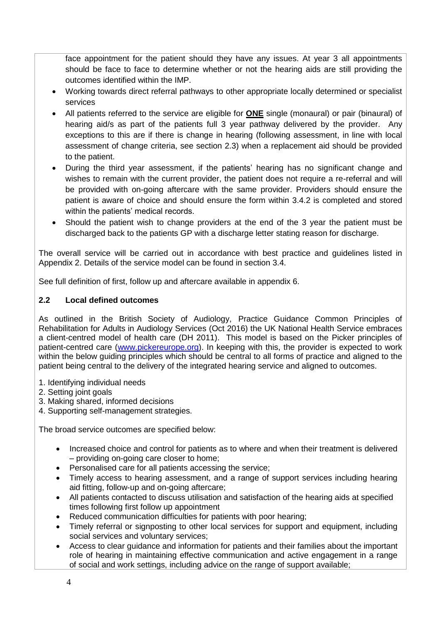face appointment for the patient should they have any issues. At year 3 all appointments should be face to face to determine whether or not the hearing aids are still providing the outcomes identified within the IMP.

- Working towards direct referral pathways to other appropriate locally determined or specialist services
- All patients referred to the service are eligible for **ONE** single (monaural) or pair (binaural) of hearing aid/s as part of the patients full 3 year pathway delivered by the provider. Any exceptions to this are if there is change in hearing (following assessment, in line with local assessment of change criteria, see section 2.3) when a replacement aid should be provided to the patient.
- During the third year assessment, if the patients' hearing has no significant change and wishes to remain with the current provider, the patient does not require a re-referral and will be provided with on-going aftercare with the same provider. Providers should ensure the patient is aware of choice and should ensure the form within 3.4.2 is completed and stored within the patients' medical records.
- Should the patient wish to change providers at the end of the 3 year the patient must be discharged back to the patients GP with a discharge letter stating reason for discharge.

The overall service will be carried out in accordance with best practice and guidelines listed in Appendix 2. Details of the service model can be found in section 3.4.

See full definition of first, follow up and aftercare available in appendix 6.

# **2.2 Local defined outcomes**

As outlined in the British Society of Audiology, Practice Guidance Common Principles of Rehabilitation for Adults in Audiology Services (Oct 2016) the UK National Health Service embraces a client-centred model of health care (DH 2011). This model is based on the Picker principles of patient-centred care [\(www.pickereurope.org\)](http://www.pickereurope.org/). In keeping with this, the provider is expected to work within the below guiding principles which should be central to all forms of practice and aligned to the patient being central to the delivery of the integrated hearing service and aligned to outcomes.

- 1. Identifying individual needs
- 2. Setting joint goals
- 3. Making shared, informed decisions
- 4. Supporting self-management strategies.

The broad service outcomes are specified below:

- Increased choice and control for patients as to where and when their treatment is delivered – providing on-going care closer to home;
- Personalised care for all patients accessing the service;
- Timely access to hearing assessment, and a range of support services including hearing aid fitting, follow-up and on-going aftercare;
- All patients contacted to discuss utilisation and satisfaction of the hearing aids at specified times following first follow up appointment
- Reduced communication difficulties for patients with poor hearing;
- Timely referral or signposting to other local services for support and equipment, including social services and voluntary services;
- Access to clear guidance and information for patients and their families about the important role of hearing in maintaining effective communication and active engagement in a range of social and work settings, including advice on the range of support available;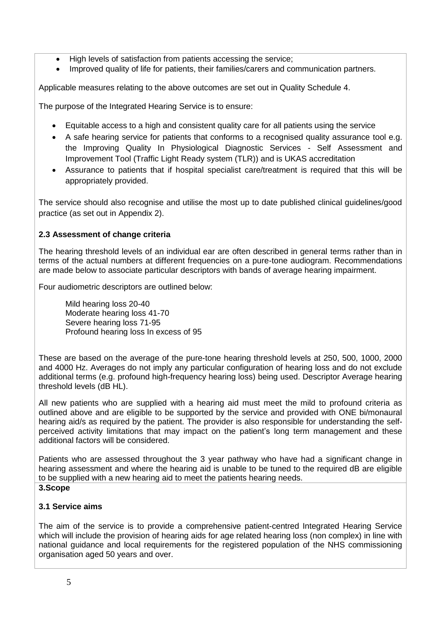- High levels of satisfaction from patients accessing the service;
- Improved quality of life for patients, their families/carers and communication partners.

Applicable measures relating to the above outcomes are set out in Quality Schedule 4.

The purpose of the Integrated Hearing Service is to ensure:

- Equitable access to a high and consistent quality care for all patients using the service
- A safe hearing service for patients that conforms to a recognised quality assurance tool e.g. the Improving Quality In Physiological Diagnostic Services - Self Assessment and Improvement Tool (Traffic Light Ready system (TLR)) and is UKAS accreditation
- Assurance to patients that if hospital specialist care/treatment is required that this will be appropriately provided.

The service should also recognise and utilise the most up to date published clinical guidelines/good practice (as set out in Appendix 2).

# **2.3 Assessment of change criteria**

The hearing threshold levels of an individual ear are often described in general terms rather than in terms of the actual numbers at different frequencies on a pure-tone audiogram. Recommendations are made below to associate particular descriptors with bands of average hearing impairment.

Four audiometric descriptors are outlined below:

Mild hearing loss 20-40 Moderate hearing loss 41-70 Severe hearing loss 71-95 Profound hearing loss In excess of 95

These are based on the average of the pure-tone hearing threshold levels at 250, 500, 1000, 2000 and 4000 Hz. Averages do not imply any particular configuration of hearing loss and do not exclude additional terms (e.g. profound high-frequency hearing loss) being used. Descriptor Average hearing threshold levels (dB HL).

All new patients who are supplied with a hearing aid must meet the mild to profound criteria as outlined above and are eligible to be supported by the service and provided with ONE bi/monaural hearing aid/s as required by the patient. The provider is also responsible for understanding the selfperceived activity limitations that may impact on the patient's long term management and these additional factors will be considered.

Patients who are assessed throughout the 3 year pathway who have had a significant change in hearing assessment and where the hearing aid is unable to be tuned to the required dB are eligible to be supplied with a new hearing aid to meet the patients hearing needs.

## **3.Scope**

# **3.1 Service aims**

The aim of the service is to provide a comprehensive patient-centred Integrated Hearing Service which will include the provision of hearing aids for age related hearing loss (non complex) in line with national guidance and local requirements for the registered population of the NHS commissioning organisation aged 50 years and over.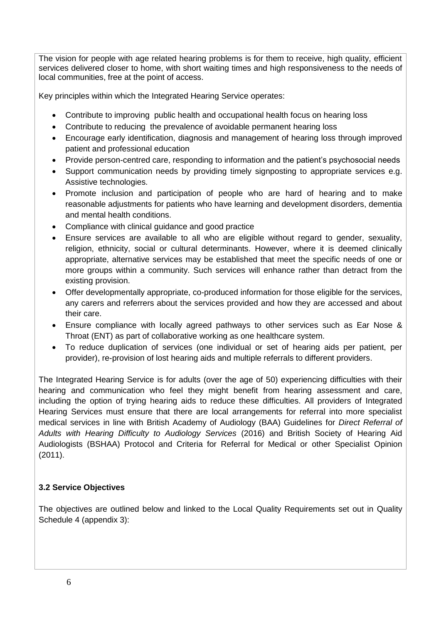The vision for people with age related hearing problems is for them to receive, high quality, efficient services delivered closer to home, with short waiting times and high responsiveness to the needs of local communities, free at the point of access.

Key principles within which the Integrated Hearing Service operates:

- Contribute to improving public health and occupational health focus on hearing loss
- Contribute to reducing the prevalence of avoidable permanent hearing loss
- Encourage early identification, diagnosis and management of hearing loss through improved patient and professional education
- Provide person-centred care, responding to information and the patient's psychosocial needs
- Support communication needs by providing timely signposting to appropriate services e.g. Assistive technologies.
- Promote inclusion and participation of people who are hard of hearing and to make reasonable adjustments for patients who have learning and development disorders, dementia and mental health conditions.
- Compliance with clinical guidance and good practice
- Ensure services are available to all who are eligible without regard to gender, sexuality, religion, ethnicity, social or cultural determinants. However, where it is deemed clinically appropriate, alternative services may be established that meet the specific needs of one or more groups within a community. Such services will enhance rather than detract from the existing provision.
- Offer developmentally appropriate, co-produced information for those eligible for the services, any carers and referrers about the services provided and how they are accessed and about their care.
- Ensure compliance with locally agreed pathways to other services such as Ear Nose & Throat (ENT) as part of collaborative working as one healthcare system.
- To reduce duplication of services (one individual or set of hearing aids per patient, per provider), re-provision of lost hearing aids and multiple referrals to different providers.

The Integrated Hearing Service is for adults (over the age of 50) experiencing difficulties with their hearing and communication who feel they might benefit from hearing assessment and care, including the option of trying hearing aids to reduce these difficulties. All providers of Integrated Hearing Services must ensure that there are local arrangements for referral into more specialist medical services in line with British Academy of Audiology (BAA) Guidelines for *Direct Referral of Adults with Hearing Difficulty to Audiology Services* (2016) and British Society of Hearing Aid Audiologists (BSHAA) Protocol and Criteria for Referral for Medical or other Specialist Opinion (2011).

# **3.2 Service Objectives**

The objectives are outlined below and linked to the Local Quality Requirements set out in Quality Schedule 4 (appendix 3):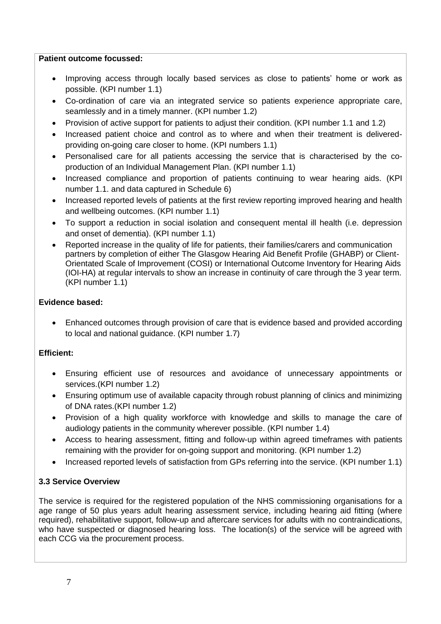#### **Patient outcome focussed:**

- Improving access through locally based services as close to patients' home or work as possible. (KPI number 1.1)
- Co-ordination of care via an integrated service so patients experience appropriate care, seamlessly and in a timely manner. (KPI number 1.2)
- Provision of active support for patients to adjust their condition. (KPI number 1.1 and 1.2)
- Increased patient choice and control as to where and when their treatment is deliveredproviding on-going care closer to home. (KPI numbers 1.1)
- Personalised care for all patients accessing the service that is characterised by the coproduction of an Individual Management Plan. (KPI number 1.1)
- Increased compliance and proportion of patients continuing to wear hearing aids. (KPI number 1.1. and data captured in Schedule 6)
- Increased reported levels of patients at the first review reporting improved hearing and health and wellbeing outcomes. (KPI number 1.1)
- To support a reduction in social isolation and consequent mental ill health (i.e. depression and onset of dementia). (KPI number 1.1)
- Reported increase in the quality of life for patients, their families/carers and communication partners by completion of either The Glasgow Hearing Aid Benefit Profile (GHABP) or Client-Orientated Scale of Improvement (COSI) or International Outcome Inventory for Hearing Aids (IOI-HA) at regular intervals to show an increase in continuity of care through the 3 year term. (KPI number 1.1)

#### **Evidence based:**

 Enhanced outcomes through provision of care that is evidence based and provided according to local and national guidance. (KPI number 1.7)

# **Efficient:**

- Ensuring efficient use of resources and avoidance of unnecessary appointments or services.(KPI number 1.2)
- Ensuring optimum use of available capacity through robust planning of clinics and minimizing of DNA rates.(KPI number 1.2)
- Provision of a high quality workforce with knowledge and skills to manage the care of audiology patients in the community wherever possible. (KPI number 1.4)
- Access to hearing assessment, fitting and follow-up within agreed timeframes with patients remaining with the provider for on-going support and monitoring. (KPI number 1.2)
- Increased reported levels of satisfaction from GPs referring into the service. (KPI number 1.1)

# **3.3 Service Overview**

The service is required for the registered population of the NHS commissioning organisations for a age range of 50 plus years adult hearing assessment service, including hearing aid fitting (where required), rehabilitative support, follow-up and aftercare services for adults with no contraindications, who have suspected or diagnosed hearing loss. The location(s) of the service will be agreed with each CCG via the procurement process.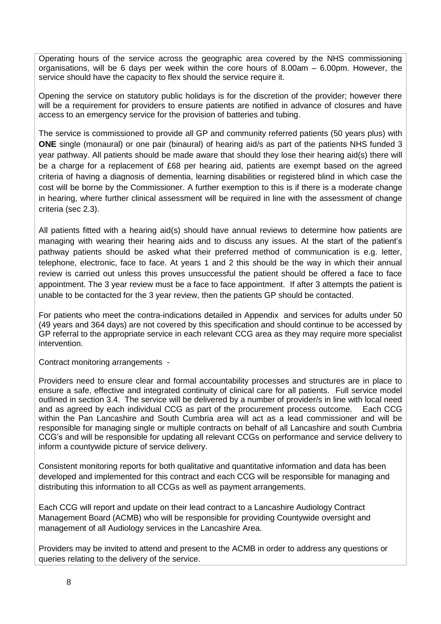Operating hours of the service across the geographic area covered by the NHS commissioning organisations, will be 6 days per week within the core hours of 8.00am – 6.00pm. However, the service should have the capacity to flex should the service require it.

Opening the service on statutory public holidays is for the discretion of the provider; however there will be a requirement for providers to ensure patients are notified in advance of closures and have access to an emergency service for the provision of batteries and tubing.

The service is commissioned to provide all GP and community referred patients (50 years plus) with **ONE** single (monaural) or one pair (binaural) of hearing aid/s as part of the patients NHS funded 3 year pathway. All patients should be made aware that should they lose their hearing aid(s) there will be a charge for a replacement of £68 per hearing aid, patients are exempt based on the agreed criteria of having a diagnosis of dementia, learning disabilities or registered blind in which case the cost will be borne by the Commissioner. A further exemption to this is if there is a moderate change in hearing, where further clinical assessment will be required in line with the assessment of change criteria (sec 2.3).

All patients fitted with a hearing aid(s) should have annual reviews to determine how patients are managing with wearing their hearing aids and to discuss any issues. At the start of the patient's pathway patients should be asked what their preferred method of communication is e.g. letter, telephone, electronic, face to face. At years 1 and 2 this should be the way in which their annual review is carried out unless this proves unsuccessful the patient should be offered a face to face appointment. The 3 year review must be a face to face appointment. If after 3 attempts the patient is unable to be contacted for the 3 year review, then the patients GP should be contacted.

For patients who meet the contra-indications detailed in Appendix and services for adults under 50 (49 years and 364 days) are not covered by this specification and should continue to be accessed by GP referral to the appropriate service in each relevant CCG area as they may require more specialist intervention.

Contract monitoring arrangements -

Providers need to ensure clear and formal accountability processes and structures are in place to ensure a safe, effective and integrated continuity of clinical care for all patients. Full service model outlined in section 3.4. The service will be delivered by a number of provider/s in line with local need and as agreed by each individual CCG as part of the procurement process outcome. Each CCG within the Pan Lancashire and South Cumbria area will act as a lead commissioner and will be responsible for managing single or multiple contracts on behalf of all Lancashire and south Cumbria CCG's and will be responsible for updating all relevant CCGs on performance and service delivery to inform a countywide picture of service delivery.

Consistent monitoring reports for both qualitative and quantitative information and data has been developed and implemented for this contract and each CCG will be responsible for managing and distributing this information to all CCGs as well as payment arrangements.

Each CCG will report and update on their lead contract to a Lancashire Audiology Contract Management Board (ACMB) who will be responsible for providing Countywide oversight and management of all Audiology services in the Lancashire Area.

Providers may be invited to attend and present to the ACMB in order to address any questions or queries relating to the delivery of the service.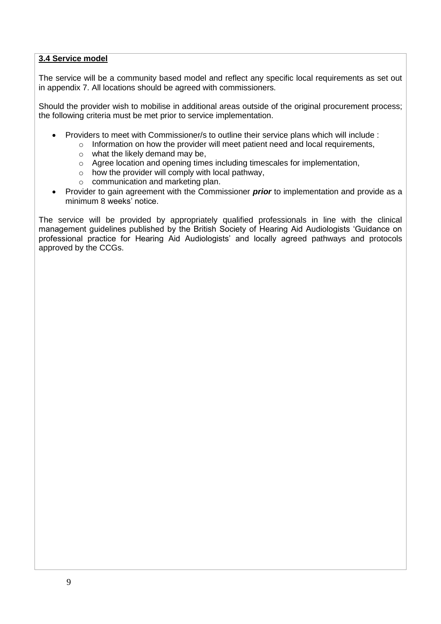## **3.4 Service model**

The service will be a community based model and reflect any specific local requirements as set out in appendix 7. All locations should be agreed with commissioners.

Should the provider wish to mobilise in additional areas outside of the original procurement process; the following criteria must be met prior to service implementation.

- Providers to meet with Commissioner/s to outline their service plans which will include :
	- o Information on how the provider will meet patient need and local requirements,
	- o what the likely demand may be,
	- o Agree location and opening times including timescales for implementation,
	- $\circ$  how the provider will comply with local pathway,
	- o communication and marketing plan.
- Provider to gain agreement with the Commissioner *prior* to implementation and provide as a minimum 8 weeks' notice.

The service will be provided by appropriately qualified professionals in line with the clinical management guidelines published by the British Society of Hearing Aid Audiologists 'Guidance on professional practice for Hearing Aid Audiologists' and locally agreed pathways and protocols approved by the CCGs.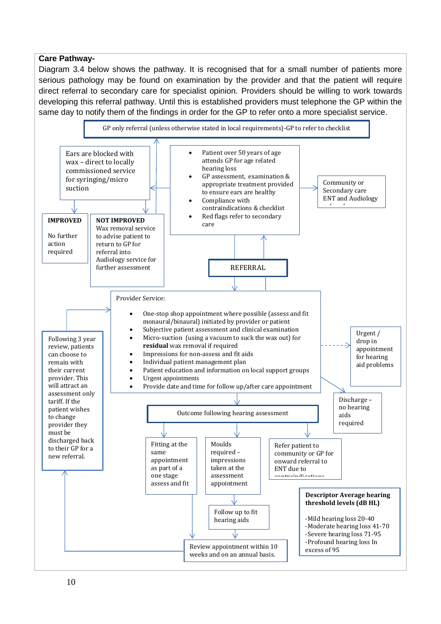#### **Care Pathway-**

Diagram 3.4 below shows the pathway. It is recognised that for a small number of patients more serious pathology may be found on examination by the provider and that the patient will require direct referral to secondary care for specialist opinion. Providers should be willing to work towards developing this referral pathway. Until this is established providers must telephone the GP within the same day to notify them of the findings in order for the GP to refer onto a more specialist service.

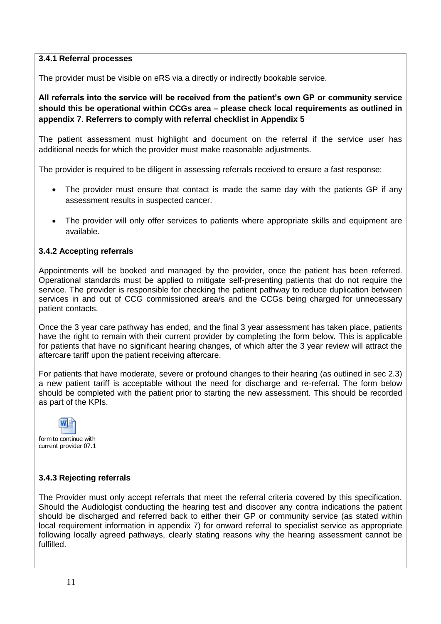#### **3.4.1 Referral processes**

The provider must be visible on eRS via a directly or indirectly bookable service.

**All referrals into the service will be received from the patient's own GP or community service should this be operational within CCGs area – please check local requirements as outlined in appendix 7. Referrers to comply with referral checklist in Appendix 5**

The patient assessment must highlight and document on the referral if the service user has additional needs for which the provider must make reasonable adjustments.

The provider is required to be diligent in assessing referrals received to ensure a fast response:

- The provider must ensure that contact is made the same day with the patients GP if any assessment results in suspected cancer.
- The provider will only offer services to patients where appropriate skills and equipment are available.

# **3.4.2 Accepting referrals**

Appointments will be booked and managed by the provider, once the patient has been referred. Operational standards must be applied to mitigate self-presenting patients that do not require the service. The provider is responsible for checking the patient pathway to reduce duplication between services in and out of CCG commissioned area/s and the CCGs being charged for unnecessary patient contacts.

Once the 3 year care pathway has ended, and the final 3 year assessment has taken place, patients have the right to remain with their current provider by completing the form below. This is applicable for patients that have no significant hearing changes, of which after the 3 year review will attract the aftercare tariff upon the patient receiving aftercare.

For patients that have moderate, severe or profound changes to their hearing (as outlined in sec 2.3) a new patient tariff is acceptable without the need for discharge and re-referral. The form below should be completed with the patient prior to starting the new assessment. This should be recorded as part of the KPIs.



# **3.4.3 Rejecting referrals**

The Provider must only accept referrals that meet the referral criteria covered by this specification. Should the Audiologist conducting the hearing test and discover any contra indications the patient should be discharged and referred back to either their GP or community service (as stated within local requirement information in appendix 7) for onward referral to specialist service as appropriate following locally agreed pathways, clearly stating reasons why the hearing assessment cannot be fulfilled.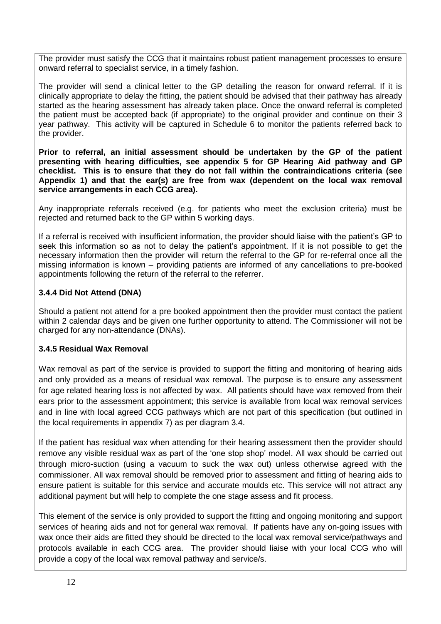The provider must satisfy the CCG that it maintains robust patient management processes to ensure onward referral to specialist service, in a timely fashion.

The provider will send a clinical letter to the GP detailing the reason for onward referral. If it is clinically appropriate to delay the fitting, the patient should be advised that their pathway has already started as the hearing assessment has already taken place. Once the onward referral is completed the patient must be accepted back (if appropriate) to the original provider and continue on their 3 year pathway. This activity will be captured in Schedule 6 to monitor the patients referred back to the provider.

**Prior to referral, an initial assessment should be undertaken by the GP of the patient presenting with hearing difficulties, see appendix 5 for GP Hearing Aid pathway and GP checklist. This is to ensure that they do not fall within the contraindications criteria (see Appendix 1) and that the ear(s) are free from wax (dependent on the local wax removal service arrangements in each CCG area).**

Any inappropriate referrals received (e.g. for patients who meet the exclusion criteria) must be rejected and returned back to the GP within 5 working days.

If a referral is received with insufficient information, the provider should liaise with the patient's GP to seek this information so as not to delay the patient's appointment. If it is not possible to get the necessary information then the provider will return the referral to the GP for re-referral once all the missing information is known – providing patients are informed of any cancellations to pre-booked appointments following the return of the referral to the referrer.

## **3.4.4 Did Not Attend (DNA)**

Should a patient not attend for a pre booked appointment then the provider must contact the patient within 2 calendar days and be given one further opportunity to attend. The Commissioner will not be charged for any non-attendance (DNAs).

#### **3.4.5 Residual Wax Removal**

Wax removal as part of the service is provided to support the fitting and monitoring of hearing aids and only provided as a means of residual wax removal. The purpose is to ensure any assessment for age related hearing loss is not affected by wax. All patients should have wax removed from their ears prior to the assessment appointment; this service is available from local wax removal services and in line with local agreed CCG pathways which are not part of this specification (but outlined in the local requirements in appendix 7) as per diagram 3.4.

If the patient has residual wax when attending for their hearing assessment then the provider should remove any visible residual wax as part of the 'one stop shop' model. All wax should be carried out through micro-suction (using a vacuum to suck the wax out) unless otherwise agreed with the commissioner. All wax removal should be removed prior to assessment and fitting of hearing aids to ensure patient is suitable for this service and accurate moulds etc. This service will not attract any additional payment but will help to complete the one stage assess and fit process.

This element of the service is only provided to support the fitting and ongoing monitoring and support services of hearing aids and not for general wax removal. If patients have any on-going issues with wax once their aids are fitted they should be directed to the local wax removal service/pathways and protocols available in each CCG area. The provider should liaise with your local CCG who will provide a copy of the local wax removal pathway and service/s.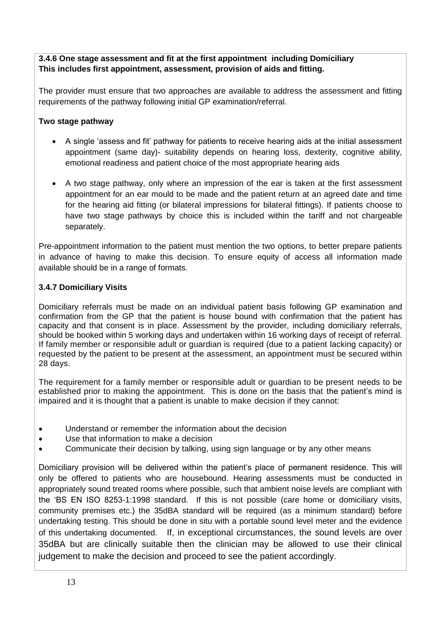# **3.4.6 One stage assessment and fit at the first appointment including Domiciliary This includes first appointment, assessment, provision of aids and fitting.**

The provider must ensure that two approaches are available to address the assessment and fitting requirements of the pathway following initial GP examination/referral.

# **Two stage pathway**

- A single 'assess and fit' pathway for patients to receive hearing aids at the initial assessment appointment (same day)- suitability depends on hearing loss, dexterity, cognitive ability, emotional readiness and patient choice of the most appropriate hearing aids
- A two stage pathway, only where an impression of the ear is taken at the first assessment appointment for an ear mould to be made and the patient return at an agreed date and time for the hearing aid fitting (or bilateral impressions for bilateral fittings). If patients choose to have two stage pathways by choice this is included within the tariff and not chargeable separately.

Pre-appointment information to the patient must mention the two options, to better prepare patients in advance of having to make this decision. To ensure equity of access all information made available should be in a range of formats.

# **3.4.7 Domiciliary Visits**

Domiciliary referrals must be made on an individual patient basis following GP examination and confirmation from the GP that the patient is house bound with confirmation that the patient has capacity and that consent is in place. Assessment by the provider, including domiciliary referrals, should be booked within 5 working days and undertaken within 16 working days of receipt of referral. If family member or responsible adult or guardian is required (due to a patient lacking capacity) or requested by the patient to be present at the assessment, an appointment must be secured within 28 days.

The requirement for a family member or responsible adult or guardian to be present needs to be established prior to making the appointment. This is done on the basis that the patient's mind is impaired and it is thought that a patient is unable to make decision if they cannot:

- Understand or remember the information about the decision
- Use that information to make a decision
- Communicate their decision by talking, using sign language or by any other means

Domiciliary provision will be delivered within the patient's place of permanent residence. This will only be offered to patients who are housebound. Hearing assessments must be conducted in appropriately sound treated rooms where possible, such that ambient noise levels are compliant with the 'BS EN ISO 8253-1:1998 standard. If this is not possible (care home or domiciliary visits, community premises etc.) the 35dBA standard will be required (as a minimum standard) before undertaking testing. This should be done in situ with a portable sound level meter and the evidence of this undertaking documented. If, in exceptional circumstances, the sound levels are over 35dBA but are clinically suitable then the clinician may be allowed to use their clinical judgement to make the decision and proceed to see the patient accordingly.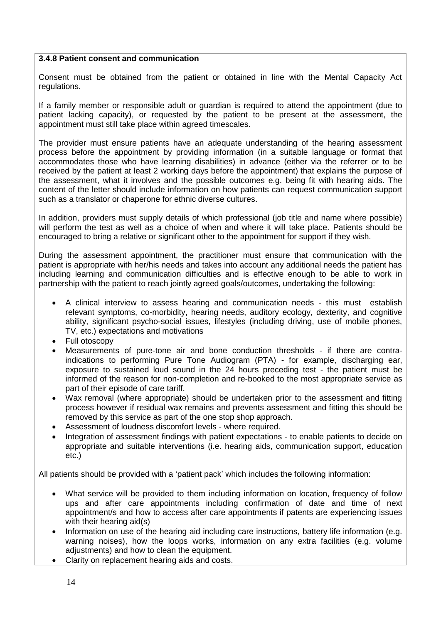#### **3.4.8 Patient consent and communication**

Consent must be obtained from the patient or obtained in line with the Mental Capacity Act regulations.

If a family member or responsible adult or guardian is required to attend the appointment (due to patient lacking capacity), or requested by the patient to be present at the assessment, the appointment must still take place within agreed timescales.

The provider must ensure patients have an adequate understanding of the hearing assessment process before the appointment by providing information (in a suitable language or format that accommodates those who have learning disabilities) in advance (either via the referrer or to be received by the patient at least 2 working days before the appointment) that explains the purpose of the assessment, what it involves and the possible outcomes e.g. being fit with hearing aids. The content of the letter should include information on how patients can request communication support such as a translator or chaperone for ethnic diverse cultures.

In addition, providers must supply details of which professional (job title and name where possible) will perform the test as well as a choice of when and where it will take place. Patients should be encouraged to bring a relative or significant other to the appointment for support if they wish.

During the assessment appointment, the practitioner must ensure that communication with the patient is appropriate with her/his needs and takes into account any additional needs the patient has including learning and communication difficulties and is effective enough to be able to work in partnership with the patient to reach jointly agreed goals/outcomes, undertaking the following:

- A clinical interview to assess hearing and communication needs this must establish relevant symptoms, co-morbidity, hearing needs, auditory ecology, dexterity, and cognitive ability, significant psycho-social issues, lifestyles (including driving, use of mobile phones, TV, etc.) expectations and motivations
- Full otoscopy
- Measurements of pure-tone air and bone conduction thresholds if there are contraindications to performing Pure Tone Audiogram (PTA) - for example, discharging ear, exposure to sustained loud sound in the 24 hours preceding test - the patient must be informed of the reason for non-completion and re-booked to the most appropriate service as part of their episode of care tariff.
- Wax removal (where appropriate) should be undertaken prior to the assessment and fitting process however if residual wax remains and prevents assessment and fitting this should be removed by this service as part of the one stop shop approach.
- Assessment of loudness discomfort levels where required.
- Integration of assessment findings with patient expectations to enable patients to decide on appropriate and suitable interventions (i.e. hearing aids, communication support, education etc.)

All patients should be provided with a 'patient pack' which includes the following information:

- What service will be provided to them including information on location, frequency of follow ups and after care appointments including confirmation of date and time of next appointment/s and how to access after care appointments if patents are experiencing issues with their hearing aid(s)
- Information on use of the hearing aid including care instructions, battery life information (e.g. warning noises), how the loops works, information on any extra facilities (e.g. volume adjustments) and how to clean the equipment.
- Clarity on replacement hearing aids and costs.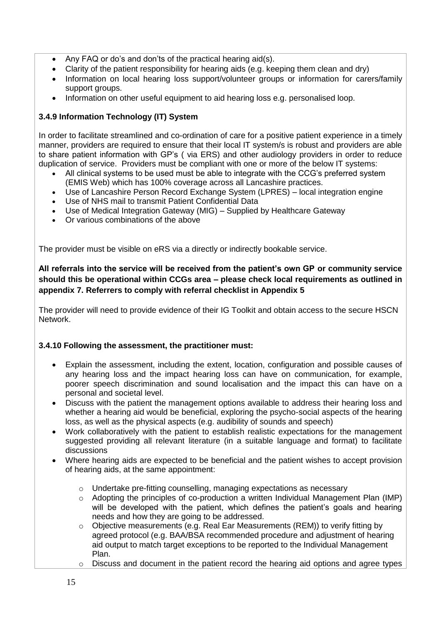- Any FAQ or do's and don'ts of the practical hearing aid(s).
- Clarity of the patient responsibility for hearing aids (e.g. keeping them clean and dry)
- Information on local hearing loss support/volunteer groups or information for carers/family support groups.
- Information on other useful equipment to aid hearing loss e.g. personalised loop.

# **3.4.9 Information Technology (IT) System**

In order to facilitate streamlined and co-ordination of care for a positive patient experience in a timely manner, providers are required to ensure that their local IT system/s is robust and providers are able to share patient information with GP's ( via ERS) and other audiology providers in order to reduce duplication of service. Providers must be compliant with one or more of the below IT systems:

- All clinical systems to be used must be able to integrate with the CCG's preferred system (EMIS Web) which has 100% coverage across all Lancashire practices.
- Use of Lancashire Person Record Exchange System (LPRES) local integration engine
- Use of NHS mail to transmit Patient Confidential Data
- Use of Medical Integration Gateway (MIG) Supplied by Healthcare Gateway
- Or various combinations of the above

The provider must be visible on eRS via a directly or indirectly bookable service.

# **All referrals into the service will be received from the patient's own GP or community service should this be operational within CCGs area – please check local requirements as outlined in appendix 7. Referrers to comply with referral checklist in Appendix 5**

The provider will need to provide evidence of their IG Toolkit and obtain access to the secure HSCN Network.

# **3.4.10 Following the assessment, the practitioner must:**

- Explain the assessment, including the extent, location, configuration and possible causes of any hearing loss and the impact hearing loss can have on communication, for example, poorer speech discrimination and sound localisation and the impact this can have on a personal and societal level.
- Discuss with the patient the management options available to address their hearing loss and whether a hearing aid would be beneficial, exploring the psycho-social aspects of the hearing loss, as well as the physical aspects (e.g. audibility of sounds and speech)
- Work collaboratively with the patient to establish realistic expectations for the management suggested providing all relevant literature (in a suitable language and format) to facilitate discussions
- Where hearing aids are expected to be beneficial and the patient wishes to accept provision of hearing aids, at the same appointment:
	- $\circ$  Undertake pre-fitting counselling, managing expectations as necessary
	- o Adopting the principles of co-production a written Individual Management Plan (IMP) will be developed with the patient, which defines the patient's goals and hearing needs and how they are going to be addressed.
	- $\circ$  Objective measurements (e.g. Real Ear Measurements (REM)) to verify fitting by agreed protocol (e.g. BAA/BSA recommended procedure and adjustment of hearing aid output to match target exceptions to be reported to the Individual Management Plan.
	- $\circ$  Discuss and document in the patient record the hearing aid options and agree types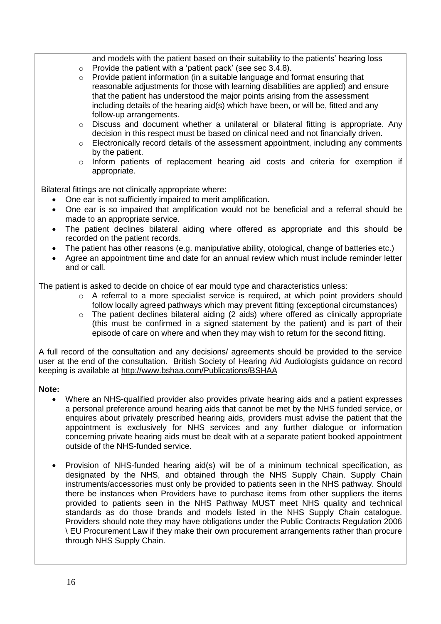and models with the patient based on their suitability to the patients' hearing loss

- o Provide the patient with a 'patient pack' (see sec 3.4.8).
- $\circ$  Provide patient information (in a suitable language and format ensuring that reasonable adjustments for those with learning disabilities are applied) and ensure that the patient has understood the major points arising from the assessment including details of the hearing aid(s) which have been, or will be, fitted and any follow-up arrangements.
- $\circ$  Discuss and document whether a unilateral or bilateral fitting is appropriate. Any decision in this respect must be based on clinical need and not financially driven.
- o Electronically record details of the assessment appointment, including any comments by the patient.
- o Inform patients of replacement hearing aid costs and criteria for exemption if appropriate.

Bilateral fittings are not clinically appropriate where:

- One ear is not sufficiently impaired to merit amplification.
- One ear is so impaired that amplification would not be beneficial and a referral should be made to an appropriate service.
- The patient declines bilateral aiding where offered as appropriate and this should be recorded on the patient records.
- The patient has other reasons (e.g. manipulative ability, otological, change of batteries etc.)
- Agree an appointment time and date for an annual review which must include reminder letter and or call.

The patient is asked to decide on choice of ear mould type and characteristics unless:

- $\circ$  A referral to a more specialist service is required, at which point providers should follow locally agreed pathways which may prevent fitting (exceptional circumstances)
- o The patient declines bilateral aiding (2 aids) where offered as clinically appropriate (this must be confirmed in a signed statement by the patient) and is part of their episode of care on where and when they may wish to return for the second fitting.

A full record of the consultation and any decisions/ agreements should be provided to the service user at the end of the consultation. British Society of Hearing Aid Audiologists guidance on record keeping is available at<http://www.bshaa.com/Publications/BSHAA>

#### **Note:**

- Where an NHS-qualified provider also provides private hearing aids and a patient expresses a personal preference around hearing aids that cannot be met by the NHS funded service, or enquires about privately prescribed hearing aids, providers must advise the patient that the appointment is exclusively for NHS services and any further dialogue or information concerning private hearing aids must be dealt with at a separate patient booked appointment outside of the NHS-funded service.
- Provision of NHS-funded hearing aid(s) will be of a minimum technical specification, as designated by the NHS, and obtained through the NHS Supply Chain. Supply Chain instruments/accessories must only be provided to patients seen in the NHS pathway. Should there be instances when Providers have to purchase items from other suppliers the items provided to patients seen in the NHS Pathway MUST meet NHS quality and technical standards as do those brands and models listed in the NHS Supply Chain catalogue. Providers should note they may have obligations under the Public Contracts Regulation 2006 \ EU Procurement Law if they make their own procurement arrangements rather than procure through NHS Supply Chain.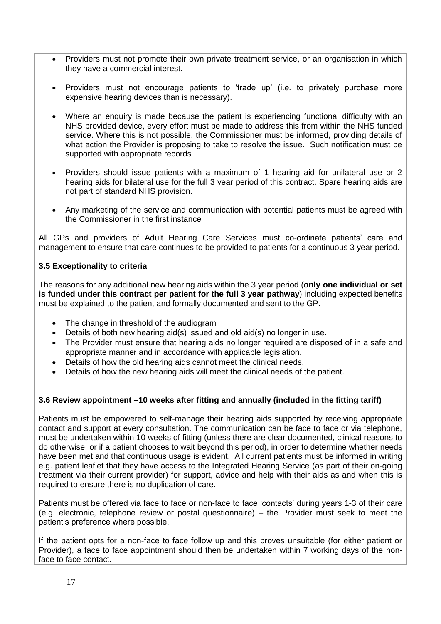- Providers must not promote their own private treatment service, or an organisation in which they have a commercial interest.
- Providers must not encourage patients to 'trade up' (i.e. to privately purchase more expensive hearing devices than is necessary).
- Where an enquiry is made because the patient is experiencing functional difficulty with an NHS provided device, every effort must be made to address this from within the NHS funded service. Where this is not possible, the Commissioner must be informed, providing details of what action the Provider is proposing to take to resolve the issue. Such notification must be supported with appropriate records
- Providers should issue patients with a maximum of 1 hearing aid for unilateral use or 2 hearing aids for bilateral use for the full 3 year period of this contract. Spare hearing aids are not part of standard NHS provision.
- Any marketing of the service and communication with potential patients must be agreed with the Commissioner in the first instance

All GPs and providers of Adult Hearing Care Services must co-ordinate patients' care and management to ensure that care continues to be provided to patients for a continuous 3 year period.

## **3.5 Exceptionality to criteria**

The reasons for any additional new hearing aids within the 3 year period (**only one individual or set is funded under this contract per patient for the full 3 year pathway**) including expected benefits must be explained to the patient and formally documented and sent to the GP.

- The change in threshold of the audiogram
- Details of both new hearing aid(s) issued and old aid(s) no longer in use.
- The Provider must ensure that hearing aids no longer required are disposed of in a safe and appropriate manner and in accordance with applicable legislation.
- Details of how the old hearing aids cannot meet the clinical needs.
- Details of how the new hearing aids will meet the clinical needs of the patient.

# **3.6 Review appointment –10 weeks after fitting and annually (included in the fitting tariff)**

Patients must be empowered to self-manage their hearing aids supported by receiving appropriate contact and support at every consultation. The communication can be face to face or via telephone, must be undertaken within 10 weeks of fitting (unless there are clear documented, clinical reasons to do otherwise, or if a patient chooses to wait beyond this period), in order to determine whether needs have been met and that continuous usage is evident. All current patients must be informed in writing e.g. patient leaflet that they have access to the Integrated Hearing Service (as part of their on-going treatment via their current provider) for support, advice and help with their aids as and when this is required to ensure there is no duplication of care.

Patients must be offered via face to face or non-face to face 'contacts' during years 1-3 of their care (e.g. electronic, telephone review or postal questionnaire) – the Provider must seek to meet the patient's preference where possible.

If the patient opts for a non-face to face follow up and this proves unsuitable (for either patient or Provider), a face to face appointment should then be undertaken within 7 working days of the nonface to face contact.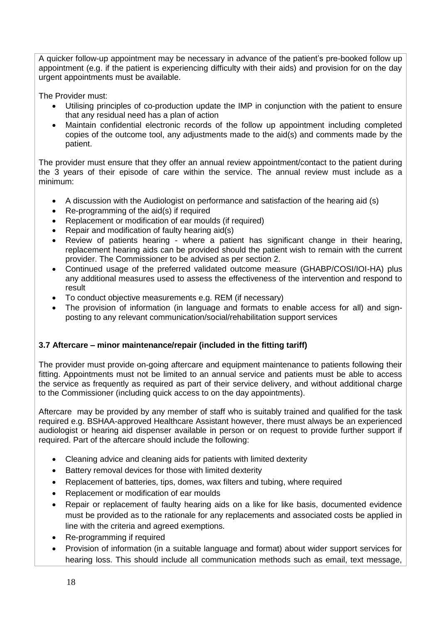A quicker follow-up appointment may be necessary in advance of the patient's pre-booked follow up appointment (e.g. if the patient is experiencing difficulty with their aids) and provision for on the day urgent appointments must be available.

The Provider must:

- Utilising principles of co-production update the IMP in conjunction with the patient to ensure that any residual need has a plan of action
- Maintain confidential electronic records of the follow up appointment including completed copies of the outcome tool, any adjustments made to the aid(s) and comments made by the patient.

The provider must ensure that they offer an annual review appointment/contact to the patient during the 3 years of their episode of care within the service. The annual review must include as a minimum:

- A discussion with the Audiologist on performance and satisfaction of the hearing aid (s)
- Re-programming of the aid(s) if required
- Replacement or modification of ear moulds (if required)
- Repair and modification of faulty hearing aid(s)
- Review of patients hearing where a patient has significant change in their hearing, replacement hearing aids can be provided should the patient wish to remain with the current provider. The Commissioner to be advised as per section 2.
- Continued usage of the preferred validated outcome measure (GHABP/COSI/IOI-HA) plus any additional measures used to assess the effectiveness of the intervention and respond to result
- To conduct objective measurements e.g. REM (if necessary)
- The provision of information (in language and formats to enable access for all) and signposting to any relevant communication/social/rehabilitation support services

# **3.7 Aftercare – minor maintenance/repair (included in the fitting tariff)**

The provider must provide on-going aftercare and equipment maintenance to patients following their fitting. Appointments must not be limited to an annual service and patients must be able to access the service as frequently as required as part of their service delivery, and without additional charge to the Commissioner (including quick access to on the day appointments).

Aftercare may be provided by any member of staff who is suitably trained and qualified for the task required e.g. BSHAA-approved Healthcare Assistant however, there must always be an experienced audiologist or hearing aid dispenser available in person or on request to provide further support if required. Part of the aftercare should include the following:

- Cleaning advice and cleaning aids for patients with limited dexterity
- Battery removal devices for those with limited dexterity
- Replacement of batteries, tips, domes, wax filters and tubing, where required
- Replacement or modification of ear moulds
- Repair or replacement of faulty hearing aids on a like for like basis, documented evidence must be provided as to the rationale for any replacements and associated costs be applied in line with the criteria and agreed exemptions.
- Re-programming if required
- Provision of information (in a suitable language and format) about wider support services for hearing loss. This should include all communication methods such as email, text message,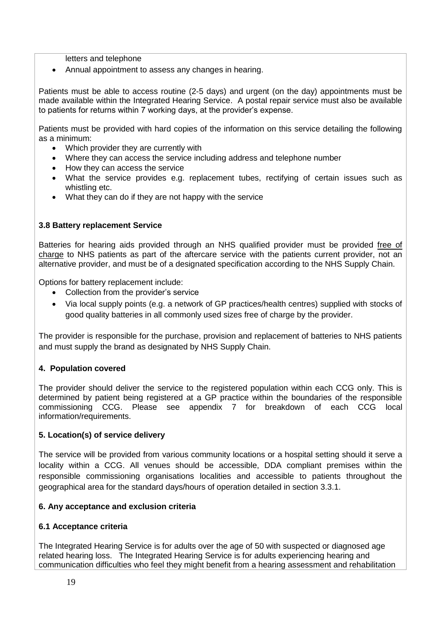letters and telephone

Annual appointment to assess any changes in hearing.

Patients must be able to access routine (2-5 days) and urgent (on the day) appointments must be made available within the Integrated Hearing Service. A postal repair service must also be available to patients for returns within 7 working days, at the provider's expense.

Patients must be provided with hard copies of the information on this service detailing the following as a minimum:

- Which provider they are currently with
- Where they can access the service including address and telephone number
- How they can access the service
- What the service provides e.g. replacement tubes, rectifying of certain issues such as whistling etc.
- What they can do if they are not happy with the service

## **3.8 Battery replacement Service**

Batteries for hearing aids provided through an NHS qualified provider must be provided free of charge to NHS patients as part of the aftercare service with the patients current provider, not an alternative provider, and must be of a designated specification according to the NHS Supply Chain.

Options for battery replacement include:

- Collection from the provider's service
- Via local supply points (e.g. a network of GP practices/health centres) supplied with stocks of good quality batteries in all commonly used sizes free of charge by the provider.

The provider is responsible for the purchase, provision and replacement of batteries to NHS patients and must supply the brand as designated by NHS Supply Chain.

#### **4. Population covered**

The provider should deliver the service to the registered population within each CCG only. This is determined by patient being registered at a GP practice within the boundaries of the responsible commissioning CCG. Please see appendix 7 for breakdown of each CCG local information/requirements.

#### **5. Location(s) of service delivery**

The service will be provided from various community locations or a hospital setting should it serve a locality within a CCG. All venues should be accessible, DDA compliant premises within the responsible commissioning organisations localities and accessible to patients throughout the geographical area for the standard days/hours of operation detailed in section 3.3.1.

#### **6. Any acceptance and exclusion criteria**

#### **6.1 Acceptance criteria**

The Integrated Hearing Service is for adults over the age of 50 with suspected or diagnosed age related hearing loss. The Integrated Hearing Service is for adults experiencing hearing and communication difficulties who feel they might benefit from a hearing assessment and rehabilitation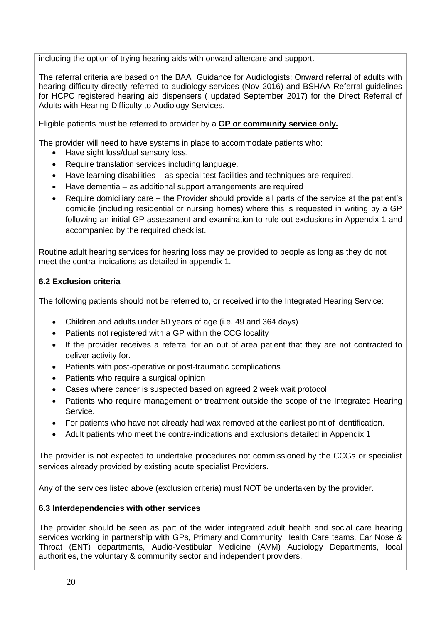including the option of trying hearing aids with onward aftercare and support.

The referral criteria are based on the BAA Guidance for Audiologists: Onward referral of adults with hearing difficulty directly referred to audiology services (Nov 2016) and BSHAA Referral guidelines for HCPC registered hearing aid dispensers ( updated September 2017) for the Direct Referral of Adults with Hearing Difficulty to Audiology Services.

Eligible patients must be referred to provider by a **GP or community service only.**

The provider will need to have systems in place to accommodate patients who:

- Have sight loss/dual sensory loss.
- Require translation services including language.
- Have learning disabilities as special test facilities and techniques are required.
- Have dementia as additional support arrangements are required
- Require domiciliary care the Provider should provide all parts of the service at the patient's domicile (including residential or nursing homes) where this is requested in writing by a GP following an initial GP assessment and examination to rule out exclusions in Appendix 1 and accompanied by the required checklist.

Routine adult hearing services for hearing loss may be provided to people as long as they do not meet the contra-indications as detailed in appendix 1.

# **6.2 Exclusion criteria**

The following patients should not be referred to, or received into the Integrated Hearing Service:

- Children and adults under 50 years of age (i.e. 49 and 364 days)
- Patients not registered with a GP within the CCG locality
- If the provider receives a referral for an out of area patient that they are not contracted to deliver activity for.
- Patients with post-operative or post-traumatic complications
- Patients who require a surgical opinion
- Cases where cancer is suspected based on agreed 2 week wait protocol
- Patients who require management or treatment outside the scope of the Integrated Hearing Service.
- For patients who have not already had wax removed at the earliest point of identification.
- Adult patients who meet the contra-indications and exclusions detailed in Appendix 1

The provider is not expected to undertake procedures not commissioned by the CCGs or specialist services already provided by existing acute specialist Providers.

Any of the services listed above (exclusion criteria) must NOT be undertaken by the provider.

#### **6.3 Interdependencies with other services**

The provider should be seen as part of the wider integrated adult health and social care hearing services working in partnership with GPs, Primary and Community Health Care teams, Ear Nose & Throat (ENT) departments, Audio-Vestibular Medicine (AVM) Audiology Departments, local authorities, the voluntary & community sector and independent providers.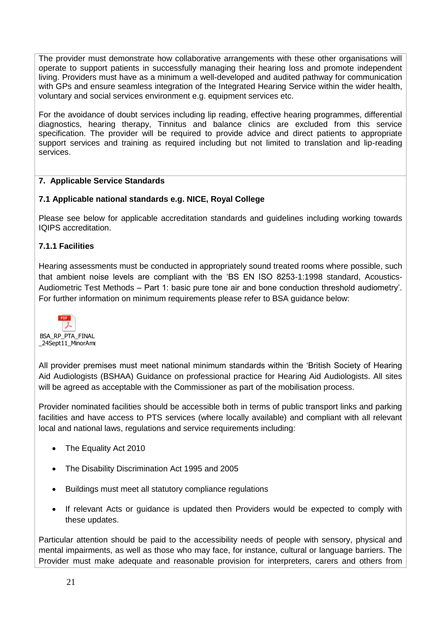The provider must demonstrate how collaborative arrangements with these other organisations will operate to support patients in successfully managing their hearing loss and promote independent living. Providers must have as a minimum a well-developed and audited pathway for communication with GPs and ensure seamless integration of the Integrated Hearing Service within the wider health, voluntary and social services environment e.g. equipment services etc.

For the avoidance of doubt services including lip reading, effective hearing programmes, differential diagnostics, hearing therapy, Tinnitus and balance clinics are excluded from this service specification. The provider will be required to provide advice and direct patients to appropriate support services and training as required including but not limited to translation and lip-reading services.

# **7. Applicable Service Standards**

# **7.1 Applicable national standards e.g. NICE, Royal College**

Please see below for applicable accreditation standards and guidelines including working towards IQIPS accreditation.

# **7.1.1 Facilities**

Hearing assessments must be conducted in appropriately sound treated rooms where possible, such that ambient noise levels are compliant with the 'BS EN ISO 8253-1:1998 standard, Acoustics-Audiometric Test Methods – Part 1: basic pure tone air and bone conduction threshold audiometry'. For further information on minimum requirements please refer to BSA guidance below:



All provider premises must meet national minimum standards within the 'British Society of Hearing Aid Audiologists (BSHAA) Guidance on professional practice for Hearing Aid Audiologists. All sites will be agreed as acceptable with the Commissioner as part of the mobilisation process.

Provider nominated facilities should be accessible both in terms of public transport links and parking facilities and have access to PTS services (where locally available) and compliant with all relevant local and national laws, regulations and service requirements including:

- The Equality Act 2010
- The Disability Discrimination Act 1995 and 2005
- Buildings must meet all statutory compliance regulations
- If relevant Acts or guidance is updated then Providers would be expected to comply with these updates.

Particular attention should be paid to the accessibility needs of people with sensory, physical and mental impairments, as well as those who may face, for instance, cultural or language barriers. The Provider must make adequate and reasonable provision for interpreters, carers and others from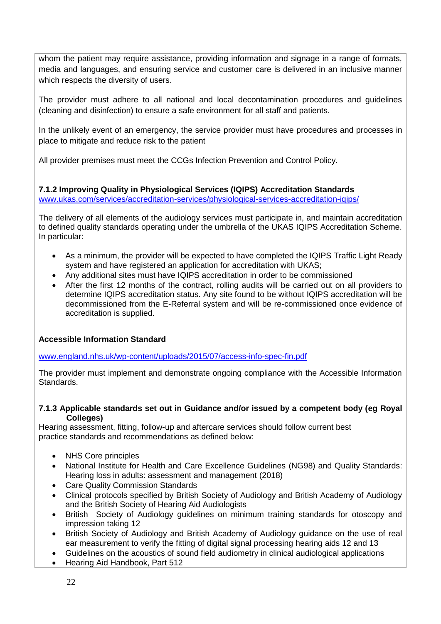whom the patient may require assistance, providing information and signage in a range of formats, media and languages, and ensuring service and customer care is delivered in an inclusive manner which respects the diversity of users.

The provider must adhere to all national and local decontamination procedures and guidelines (cleaning and disinfection) to ensure a safe environment for all staff and patients.

In the unlikely event of an emergency, the service provider must have procedures and processes in place to mitigate and reduce risk to the patient

All provider premises must meet the CCGs Infection Prevention and Control Policy.

# **7.1.2 Improving Quality in Physiological Services (IQIPS) Accreditation Standards**

[www.ukas.com/services/accreditation-services/physiological-services-accreditation-iqips/](file://///nsomerset.xswhealth.nhs.uk/ccg/Directorate/BNSSG%20Shared%20Area/BNSSG%20–%20Commissioning/Contract%20Commissioning/AQP%20Community%20Contracts/Audiology/Turnaround/Procurement/Specification/www.ukas.com/services/accreditation-services/physiological-services-accreditation-iqips/)

The delivery of all elements of the audiology services must participate in, and maintain accreditation to defined quality standards operating under the umbrella of the UKAS IQIPS Accreditation Scheme. In particular:

- As a minimum, the provider will be expected to have completed the IQIPS Traffic Light Ready system and have registered an application for accreditation with UKAS;
- Any additional sites must have IQIPS accreditation in order to be commissioned
- After the first 12 months of the contract, rolling audits will be carried out on all providers to determine IQIPS accreditation status. Any site found to be without IQIPS accreditation will be decommissioned from the E-Referral system and will be re-commissioned once evidence of accreditation is supplied.

# **Accessible Information Standard**

[www.england.nhs.uk/wp-content/uploads/2015/07/access-info-spec-fin.pdf](https://www.england.nhs.uk/ourwork/accessibleinfo/)

The provider must implement and demonstrate ongoing compliance with the Accessible Information Standards.

#### **7.1.3 Applicable standards set out in Guidance and/or issued by a competent body (eg Royal Colleges)**

Hearing assessment, fitting, follow-up and aftercare services should follow current best practice standards and recommendations as defined below:

- NHS Core principles
- National Institute for Health and Care Excellence Guidelines (NG98) and Quality Standards: Hearing loss in adults: assessment and management (2018)
- Care Quality Commission Standards
- Clinical protocols specified by British Society of Audiology and British Academy of Audiology and the British Society of Hearing Aid Audiologists
- British Society of Audiology guidelines on minimum training standards for otoscopy and impression taking 12
- British Society of Audiology and British Academy of Audiology guidance on the use of real ear measurement to verify the fitting of digital signal processing hearing aids 12 and 13
- Guidelines on the acoustics of sound field audiometry in clinical audiological applications
- Hearing Aid Handbook, Part 512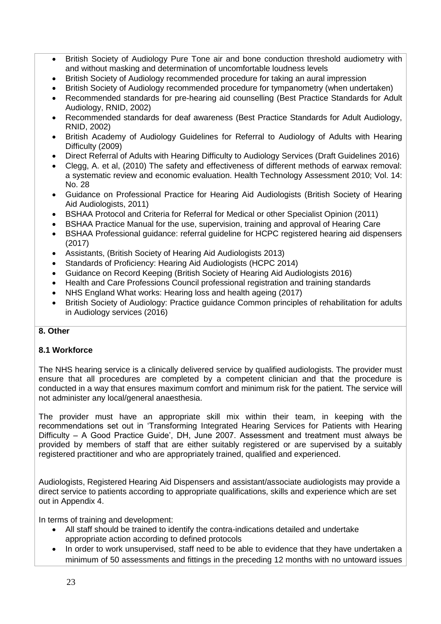- British Society of Audiology Pure Tone air and bone conduction threshold audiometry with and without masking and determination of uncomfortable loudness levels
- British Society of Audiology recommended procedure for taking an aural impression
- British Society of Audiology recommended procedure for tympanometry (when undertaken)
- Recommended standards for pre-hearing aid counselling (Best Practice Standards for Adult Audiology, RNID, 2002)
- Recommended standards for deaf awareness (Best Practice Standards for Adult Audiology, RNID, 2002)
- British Academy of Audiology Guidelines for Referral to Audiology of Adults with Hearing Difficulty (2009)
- Direct Referral of Adults with Hearing Difficulty to Audiology Services (Draft Guidelines 2016)
- Clegg, A. et al, (2010) The safety and effectiveness of different methods of earwax removal: a systematic review and economic evaluation. Health Technology Assessment 2010; Vol. 14: No. 28
- Guidance on Professional Practice for Hearing Aid Audiologists (British Society of Hearing Aid Audiologists, 2011)
- BSHAA Protocol and Criteria for Referral for Medical or other Specialist Opinion (2011)
- BSHAA Practice Manual for the use, supervision, training and approval of Hearing Care
- BSHAA Professional guidance: referral guideline for HCPC registered hearing aid dispensers (2017)
- Assistants, (British Society of Hearing Aid Audiologists 2013)
- Standards of Proficiency: Hearing Aid Audiologists (HCPC 2014)
- Guidance on Record Keeping (British Society of Hearing Aid Audiologists 2016)
- Health and Care Professions Council professional registration and training standards
- NHS England What works: Hearing loss and health ageing (2017)
- British Society of Audiology: Practice guidance Common principles of rehabilitation for adults in Audiology services (2016)

# **8. Other**

#### **8.1 Workforce**

The NHS hearing service is a clinically delivered service by qualified audiologists. The provider must ensure that all procedures are completed by a competent clinician and that the procedure is conducted in a way that ensures maximum comfort and minimum risk for the patient. The service will not administer any local/general anaesthesia.

The provider must have an appropriate skill mix within their team, in keeping with the recommendations set out in 'Transforming Integrated Hearing Services for Patients with Hearing Difficulty – A Good Practice Guide', DH, June 2007. Assessment and treatment must always be provided by members of staff that are either suitably registered or are supervised by a suitably registered practitioner and who are appropriately trained, qualified and experienced.

Audiologists, Registered Hearing Aid Dispensers and assistant/associate audiologists may provide a direct service to patients according to appropriate qualifications, skills and experience which are set out in Appendix 4.

In terms of training and development:

- All staff should be trained to identify the contra-indications detailed and undertake appropriate action according to defined protocols
- In order to work unsupervised, staff need to be able to evidence that they have undertaken a minimum of 50 assessments and fittings in the preceding 12 months with no untoward issues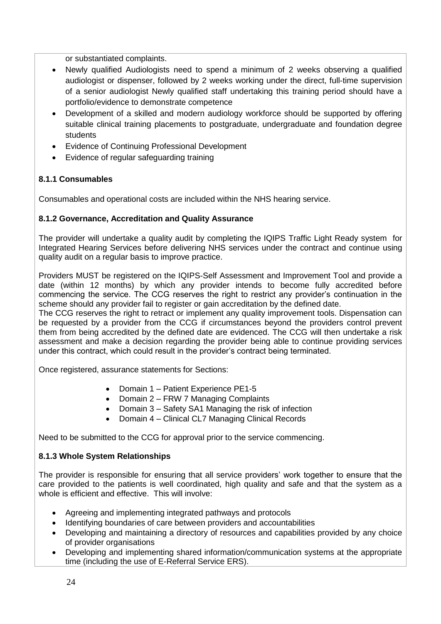or substantiated complaints.

- Newly qualified Audiologists need to spend a minimum of 2 weeks observing a qualified audiologist or dispenser, followed by 2 weeks working under the direct, full-time supervision of a senior audiologist Newly qualified staff undertaking this training period should have a portfolio/evidence to demonstrate competence
- Development of a skilled and modern audiology workforce should be supported by offering suitable clinical training placements to postgraduate, undergraduate and foundation degree students
- Evidence of Continuing Professional Development
- Evidence of regular safeguarding training

## **8.1.1 Consumables**

Consumables and operational costs are included within the NHS hearing service.

## **8.1.2 Governance, Accreditation and Quality Assurance**

The provider will undertake a quality audit by completing the IQIPS Traffic Light Ready system for Integrated Hearing Services before delivering NHS services under the contract and continue using quality audit on a regular basis to improve practice.

Providers MUST be registered on the IQIPS-Self Assessment and Improvement Tool and provide a date (within 12 months) by which any provider intends to become fully accredited before commencing the service. The CCG reserves the right to restrict any provider's continuation in the scheme should any provider fail to register or gain accreditation by the defined date.

The CCG reserves the right to retract or implement any quality improvement tools. Dispensation can be requested by a provider from the CCG if circumstances beyond the providers control prevent them from being accredited by the defined date are evidenced. The CCG will then undertake a risk assessment and make a decision regarding the provider being able to continue providing services under this contract, which could result in the provider's contract being terminated.

Once registered, assurance statements for Sections:

- Domain 1 Patient Experience PE1-5
- Domain 2 FRW 7 Managing Complaints
- Domain 3 Safety SA1 Managing the risk of infection
- Domain 4 Clinical CL7 Managing Clinical Records

Need to be submitted to the CCG for approval prior to the service commencing.

#### **8.1.3 Whole System Relationships**

The provider is responsible for ensuring that all service providers' work together to ensure that the care provided to the patients is well coordinated, high quality and safe and that the system as a whole is efficient and effective. This will involve:

- Agreeing and implementing integrated pathways and protocols
- Identifying boundaries of care between providers and accountabilities
- Developing and maintaining a directory of resources and capabilities provided by any choice of provider organisations
- Developing and implementing shared information/communication systems at the appropriate time (including the use of E-Referral Service ERS).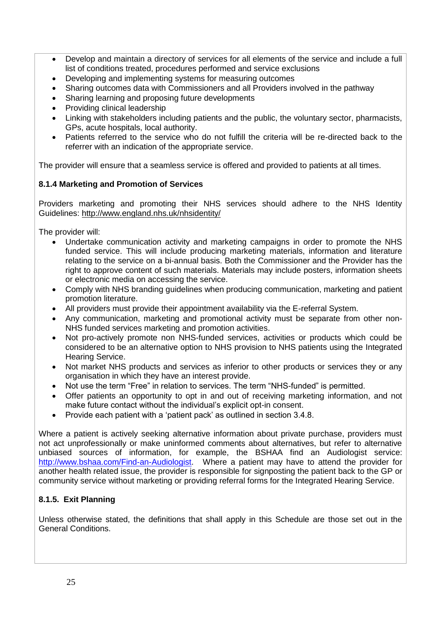- Develop and maintain a directory of services for all elements of the service and include a full list of conditions treated, procedures performed and service exclusions
- Developing and implementing systems for measuring outcomes
- Sharing outcomes data with Commissioners and all Providers involved in the pathway
- Sharing learning and proposing future developments
- Providing clinical leadership
- Linking with stakeholders including patients and the public, the voluntary sector, pharmacists, GPs, acute hospitals, local authority.
- Patients referred to the service who do not fulfill the criteria will be re-directed back to the referrer with an indication of the appropriate service.

The provider will ensure that a seamless service is offered and provided to patients at all times.

# **8.1.4 Marketing and Promotion of Services**

Providers marketing and promoting their NHS services should adhere to the NHS Identity Guidelines:<http://www.england.nhs.uk/nhsidentity/>

The provider will:

- Undertake communication activity and marketing campaigns in order to promote the NHS funded service. This will include producing marketing materials, information and literature relating to the service on a bi-annual basis. Both the Commissioner and the Provider has the right to approve content of such materials. Materials may include posters, information sheets or electronic media on accessing the service.
- Comply with NHS branding guidelines when producing communication, marketing and patient promotion literature.
- All providers must provide their appointment availability via the E-referral System.
- Any communication, marketing and promotional activity must be separate from other non-NHS funded services marketing and promotion activities.
- Not pro-actively promote non NHS-funded services, activities or products which could be considered to be an alternative option to NHS provision to NHS patients using the Integrated Hearing Service.
- Not market NHS products and services as inferior to other products or services they or any organisation in which they have an interest provide.
- Not use the term "Free" in relation to services. The term "NHS-funded" is permitted.
- Offer patients an opportunity to opt in and out of receiving marketing information, and not make future contact without the individual's explicit opt-in consent.
- Provide each patient with a 'patient pack' as outlined in section 3.4.8.

Where a patient is actively seeking alternative information about private purchase, providers must not act unprofessionally or make uninformed comments about alternatives, but refer to alternative unbiased sources of information, for example, the BSHAA find an Audiologist service: [http://www.bshaa.com/Find-an-Audiologist.](http://www.bshaa.com/Find-an-Audiologist) Where a patient may have to attend the provider for another health related issue, the provider is responsible for signposting the patient back to the GP or community service without marketing or providing referral forms for the Integrated Hearing Service.

# **8.1.5. Exit Planning**

Unless otherwise stated, the definitions that shall apply in this Schedule are those set out in the General Conditions.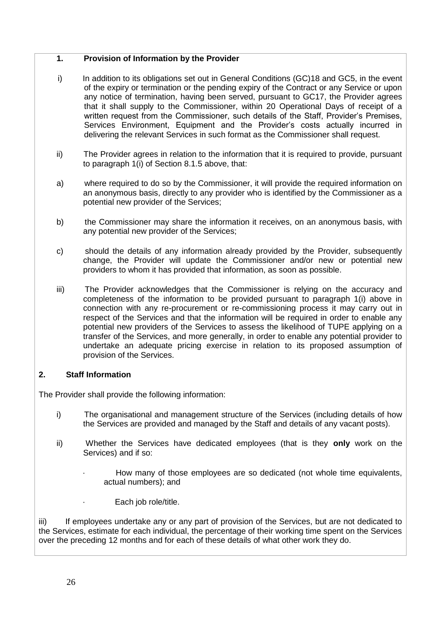#### **1. Provision of Information by the Provider**

- i) In addition to its obligations set out in General Conditions (GC)18 and GC5, in the event of the expiry or termination or the pending expiry of the Contract or any Service or upon any notice of termination, having been served, pursuant to GC17, the Provider agrees that it shall supply to the Commissioner, within 20 Operational Days of receipt of a written request from the Commissioner, such details of the Staff, Provider's Premises, Services Environment, Equipment and the Provider's costs actually incurred in delivering the relevant Services in such format as the Commissioner shall request.
- ii) The Provider agrees in relation to the information that it is required to provide, pursuant to paragraph 1(i) of Section 8.1.5 above, that:
- a) where required to do so by the Commissioner, it will provide the required information on an anonymous basis, directly to any provider who is identified by the Commissioner as a potential new provider of the Services;
- b) the Commissioner may share the information it receives, on an anonymous basis, with any potential new provider of the Services;
- c) should the details of any information already provided by the Provider, subsequently change, the Provider will update the Commissioner and/or new or potential new providers to whom it has provided that information, as soon as possible.
- iii) The Provider acknowledges that the Commissioner is relying on the accuracy and completeness of the information to be provided pursuant to paragraph 1(i) above in connection with any re-procurement or re-commissioning process it may carry out in respect of the Services and that the information will be required in order to enable any potential new providers of the Services to assess the likelihood of TUPE applying on a transfer of the Services, and more generally, in order to enable any potential provider to undertake an adequate pricing exercise in relation to its proposed assumption of provision of the Services.

# **2. Staff Information**

The Provider shall provide the following information:

- i) The organisational and management structure of the Services (including details of how the Services are provided and managed by the Staff and details of any vacant posts).
- ii) Whether the Services have dedicated employees (that is they **only** work on the Services) and if so:
	- How many of those employees are so dedicated (not whole time equivalents, actual numbers); and
		- Each job role/title.

iii) If employees undertake any or any part of provision of the Services, but are not dedicated to the Services, estimate for each individual, the percentage of their working time spent on the Services over the preceding 12 months and for each of these details of what other work they do.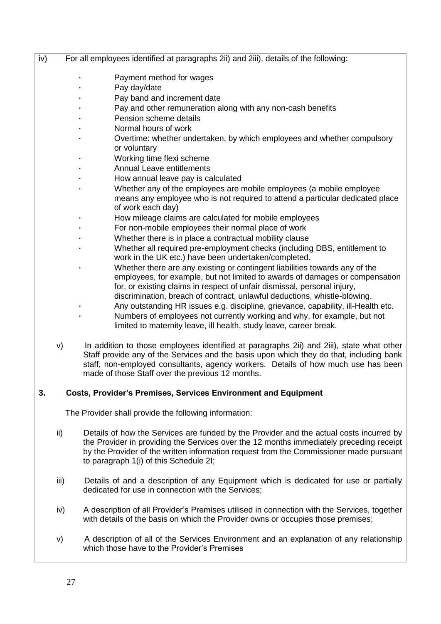- iv) For all employees identified at paragraphs 2ii) and 2iii), details of the following:
	- Payment method for wages
	- Pay day/date
	- Pay band and increment date
	- Pay and other remuneration along with any non-cash benefits
	- Pension scheme details
	- · Normal hours of work
	- · Overtime: whether undertaken, by which employees and whether compulsory or voluntary
	- Working time flexi scheme
	- Annual Leave entitlements
	- · How annual leave pay is calculated
	- · Whether any of the employees are mobile employees (a mobile employee means any employee who is not required to attend a particular dedicated place of work each day)
	- · How mileage claims are calculated for mobile employees
	- For non-mobile employees their normal place of work
	- Whether there is in place a contractual mobility clause
	- · Whether all required pre-employment checks (including DBS, entitlement to work in the UK etc.) have been undertaken/completed.
	- Whether there are any existing or contingent liabilities towards any of the employees, for example, but not limited to awards of damages or compensation for, or existing claims in respect of unfair dismissal, personal injury, discrimination, breach of contract, unlawful deductions, whistle-blowing.
	- · Any outstanding HR issues e.g. discipline, grievance, capability, ill-Health etc.
	- Numbers of employees not currently working and why, for example, but not limited to maternity leave, ill health, study leave, career break.
	- v) In addition to those employees identified at paragraphs 2ii) and 2iii), state what other Staff provide any of the Services and the basis upon which they do that, including bank staff, non-employed consultants, agency workers. Details of how much use has been made of those Staff over the previous 12 months.

#### **3. Costs, Provider's Premises, Services Environment and Equipment**

The Provider shall provide the following information:

- ii) Details of how the Services are funded by the Provider and the actual costs incurred by the Provider in providing the Services over the 12 months immediately preceding receipt by the Provider of the written information request from the Commissioner made pursuant to paragraph 1(i) of this Schedule 2I;
- iii) Details of and a description of any Equipment which is dedicated for use or partially dedicated for use in connection with the Services;
- iv) A description of all Provider's Premises utilised in connection with the Services, together with details of the basis on which the Provider owns or occupies those premises;
- v) A description of all of the Services Environment and an explanation of any relationship which those have to the Provider's Premises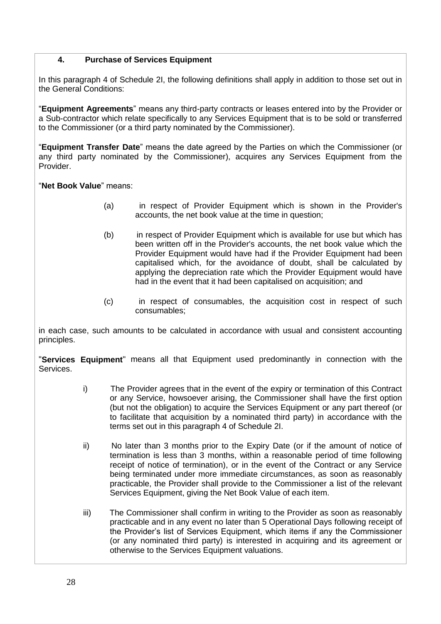## **4. Purchase of Services Equipment**

In this paragraph 4 of Schedule 2I, the following definitions shall apply in addition to those set out in the General Conditions:

"**Equipment Agreements**" means any third-party contracts or leases entered into by the Provider or a Sub-contractor which relate specifically to any Services Equipment that is to be sold or transferred to the Commissioner (or a third party nominated by the Commissioner).

"**Equipment Transfer Date**" means the date agreed by the Parties on which the Commissioner (or any third party nominated by the Commissioner), acquires any Services Equipment from the Provider.

"**Net Book Value**" means:

- (a) in respect of Provider Equipment which is shown in the Provider's accounts, the net book value at the time in question;
- (b) in respect of Provider Equipment which is available for use but which has been written off in the Provider's accounts, the net book value which the Provider Equipment would have had if the Provider Equipment had been capitalised which, for the avoidance of doubt, shall be calculated by applying the depreciation rate which the Provider Equipment would have had in the event that it had been capitalised on acquisition; and
- (c) in respect of consumables, the acquisition cost in respect of such consumables;

in each case, such amounts to be calculated in accordance with usual and consistent accounting principles.

"**Services Equipment**" means all that Equipment used predominantly in connection with the Services.

- i) The Provider agrees that in the event of the expiry or termination of this Contract or any Service, howsoever arising, the Commissioner shall have the first option (but not the obligation) to acquire the Services Equipment or any part thereof (or to facilitate that acquisition by a nominated third party) in accordance with the terms set out in this paragraph 4 of Schedule 2I.
- ii) No later than 3 months prior to the Expiry Date (or if the amount of notice of termination is less than 3 months, within a reasonable period of time following receipt of notice of termination), or in the event of the Contract or any Service being terminated under more immediate circumstances, as soon as reasonably practicable, the Provider shall provide to the Commissioner a list of the relevant Services Equipment, giving the Net Book Value of each item.
- iii) The Commissioner shall confirm in writing to the Provider as soon as reasonably practicable and in any event no later than 5 Operational Days following receipt of the Provider's list of Services Equipment, which items if any the Commissioner (or any nominated third party) is interested in acquiring and its agreement or otherwise to the Services Equipment valuations.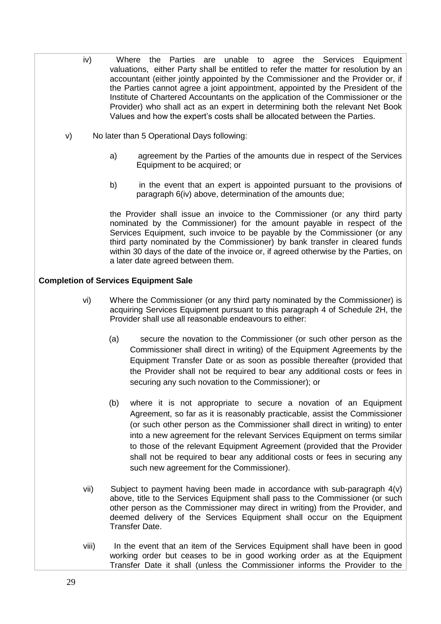- iv) Where the Parties are unable to agree the Services Equipment valuations, either Party shall be entitled to refer the matter for resolution by an accountant (either jointly appointed by the Commissioner and the Provider or, if the Parties cannot agree a joint appointment, appointed by the President of the Institute of Chartered Accountants on the application of the Commissioner or the Provider) who shall act as an expert in determining both the relevant Net Book Values and how the expert's costs shall be allocated between the Parties.
- v) No later than 5 Operational Days following:
	- a) agreement by the Parties of the amounts due in respect of the Services Equipment to be acquired; or
	- b) in the event that an expert is appointed pursuant to the provisions of paragraph 6(iv) above, determination of the amounts due;

the Provider shall issue an invoice to the Commissioner (or any third party nominated by the Commissioner) for the amount payable in respect of the Services Equipment, such invoice to be payable by the Commissioner (or any third party nominated by the Commissioner) by bank transfer in cleared funds within 30 days of the date of the invoice or, if agreed otherwise by the Parties, on a later date agreed between them.

## **Completion of Services Equipment Sale**

- vi) Where the Commissioner (or any third party nominated by the Commissioner) is acquiring Services Equipment pursuant to this paragraph 4 of Schedule 2H, the Provider shall use all reasonable endeavours to either:
	- (a) secure the novation to the Commissioner (or such other person as the Commissioner shall direct in writing) of the Equipment Agreements by the Equipment Transfer Date or as soon as possible thereafter (provided that the Provider shall not be required to bear any additional costs or fees in securing any such novation to the Commissioner); or
	- (b) where it is not appropriate to secure a novation of an Equipment Agreement, so far as it is reasonably practicable, assist the Commissioner (or such other person as the Commissioner shall direct in writing) to enter into a new agreement for the relevant Services Equipment on terms similar to those of the relevant Equipment Agreement (provided that the Provider shall not be required to bear any additional costs or fees in securing any such new agreement for the Commissioner).
- vii) Subject to payment having been made in accordance with sub-paragraph 4(v) above, title to the Services Equipment shall pass to the Commissioner (or such other person as the Commissioner may direct in writing) from the Provider, and deemed delivery of the Services Equipment shall occur on the Equipment Transfer Date.
- viii) In the event that an item of the Services Equipment shall have been in good working order but ceases to be in good working order as at the Equipment Transfer Date it shall (unless the Commissioner informs the Provider to the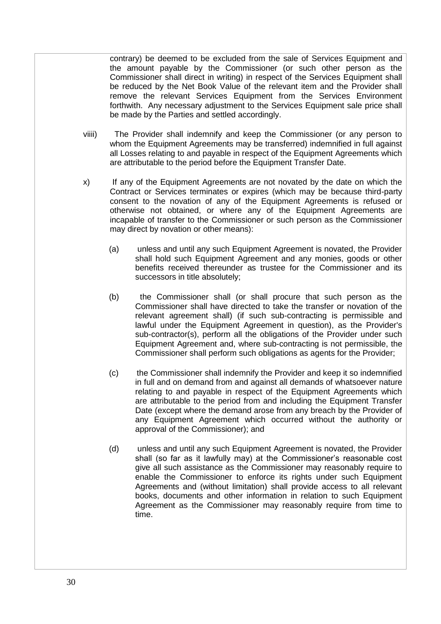contrary) be deemed to be excluded from the sale of Services Equipment and the amount payable by the Commissioner (or such other person as the Commissioner shall direct in writing) in respect of the Services Equipment shall be reduced by the Net Book Value of the relevant item and the Provider shall remove the relevant Services Equipment from the Services Environment forthwith. Any necessary adjustment to the Services Equipment sale price shall be made by the Parties and settled accordingly.

- viiii) The Provider shall indemnify and keep the Commissioner (or any person to whom the Equipment Agreements may be transferred) indemnified in full against all Losses relating to and payable in respect of the Equipment Agreements which are attributable to the period before the Equipment Transfer Date.
- x) If any of the Equipment Agreements are not novated by the date on which the Contract or Services terminates or expires (which may be because third-party consent to the novation of any of the Equipment Agreements is refused or otherwise not obtained, or where any of the Equipment Agreements are incapable of transfer to the Commissioner or such person as the Commissioner may direct by novation or other means):
	- (a) unless and until any such Equipment Agreement is novated, the Provider shall hold such Equipment Agreement and any monies, goods or other benefits received thereunder as trustee for the Commissioner and its successors in title absolutely;
	- (b) the Commissioner shall (or shall procure that such person as the Commissioner shall have directed to take the transfer or novation of the relevant agreement shall) (if such sub-contracting is permissible and lawful under the Equipment Agreement in question), as the Provider's sub-contractor(s), perform all the obligations of the Provider under such Equipment Agreement and, where sub-contracting is not permissible, the Commissioner shall perform such obligations as agents for the Provider;
	- (c) the Commissioner shall indemnify the Provider and keep it so indemnified in full and on demand from and against all demands of whatsoever nature relating to and payable in respect of the Equipment Agreements which are attributable to the period from and including the Equipment Transfer Date (except where the demand arose from any breach by the Provider of any Equipment Agreement which occurred without the authority or approval of the Commissioner); and
	- (d) unless and until any such Equipment Agreement is novated, the Provider shall (so far as it lawfully may) at the Commissioner's reasonable cost give all such assistance as the Commissioner may reasonably require to enable the Commissioner to enforce its rights under such Equipment Agreements and (without limitation) shall provide access to all relevant books, documents and other information in relation to such Equipment Agreement as the Commissioner may reasonably require from time to time.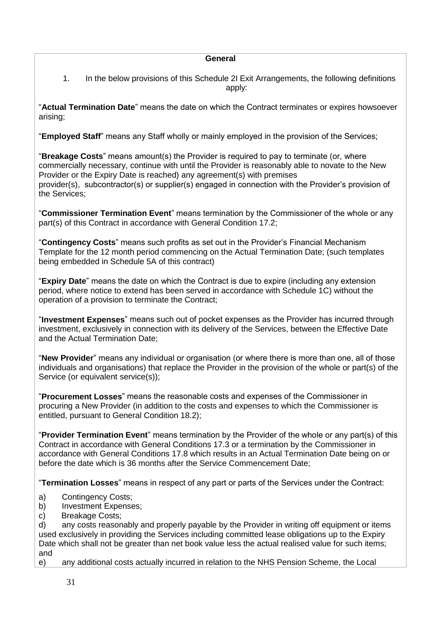#### **General**

1. In the below provisions of this Schedule 2I Exit Arrangements, the following definitions apply:

"**Actual Termination Date**" means the date on which the Contract terminates or expires howsoever arising;

"**Employed Staff**" means any Staff wholly or mainly employed in the provision of the Services;

"**Breakage Costs**" means amount(s) the Provider is required to pay to terminate (or, where commercially necessary, continue with until the Provider is reasonably able to novate to the New Provider or the Expiry Date is reached) any agreement(s) with premises provider(s), subcontractor(s) or supplier(s) engaged in connection with the Provider's provision of the Services;

"**Commissioner Termination Event**" means termination by the Commissioner of the whole or any part(s) of this Contract in accordance with General Condition 17.2;

"**Contingency Costs**" means such profits as set out in the Provider's Financial Mechanism Template for the 12 month period commencing on the Actual Termination Date; (such templates being embedded in Schedule 5A of this contract)

"**Expiry Date**" means the date on which the Contract is due to expire (including any extension period, where notice to extend has been served in accordance with Schedule 1C) without the operation of a provision to terminate the Contract;

"**Investment Expenses**" means such out of pocket expenses as the Provider has incurred through investment, exclusively in connection with its delivery of the Services, between the Effective Date and the Actual Termination Date;

"**New Provider**" means any individual or organisation (or where there is more than one, all of those individuals and organisations) that replace the Provider in the provision of the whole or part(s) of the Service (or equivalent service(s));

"**Procurement Losses**" means the reasonable costs and expenses of the Commissioner in procuring a New Provider (in addition to the costs and expenses to which the Commissioner is entitled, pursuant to General Condition 18.2);

"**Provider Termination Event**" means termination by the Provider of the whole or any part(s) of this Contract in accordance with General Conditions 17.3 or a termination by the Commissioner in accordance with General Conditions 17.8 which results in an Actual Termination Date being on or before the date which is 36 months after the Service Commencement Date;

"**Termination Losses**" means in respect of any part or parts of the Services under the Contract:

- a) Contingency Costs;
- b) Investment Expenses;
- c) Breakage Costs;

d) any costs reasonably and properly payable by the Provider in writing off equipment or items used exclusively in providing the Services including committed lease obligations up to the Expiry Date which shall not be greater than net book value less the actual realised value for such items; and

e) any additional costs actually incurred in relation to the NHS Pension Scheme, the Local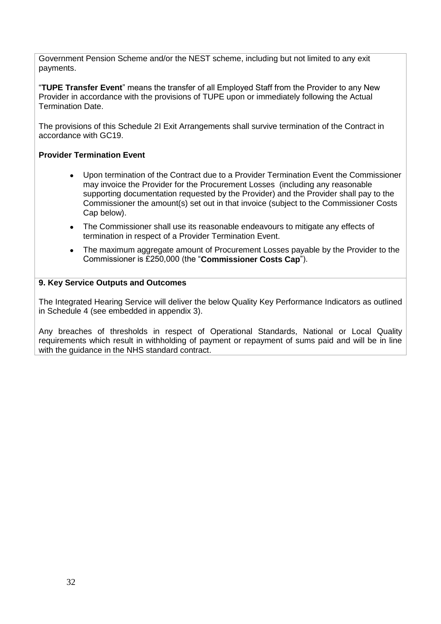Government Pension Scheme and/or the NEST scheme, including but not limited to any exit payments.

"**TUPE Transfer Event**" means the transfer of all Employed Staff from the Provider to any New Provider in accordance with the provisions of TUPE upon or immediately following the Actual Termination Date.

The provisions of this Schedule 2I Exit Arrangements shall survive termination of the Contract in accordance with GC19.

## **Provider Termination Event**

- Upon termination of the Contract due to a Provider Termination Event the Commissioner may invoice the Provider for the Procurement Losses (including any reasonable supporting documentation requested by the Provider) and the Provider shall pay to the Commissioner the amount(s) set out in that invoice (subject to the Commissioner Costs Cap below).
- The Commissioner shall use its reasonable endeavours to mitigate any effects of termination in respect of a Provider Termination Event.
- The maximum aggregate amount of Procurement Losses payable by the Provider to the Commissioner is £250,000 (the "**Commissioner Costs Cap**").

## **9. Key Service Outputs and Outcomes**

The Integrated Hearing Service will deliver the below Quality Key Performance Indicators as outlined in Schedule 4 (see embedded in appendix 3).

Any breaches of thresholds in respect of Operational Standards, National or Local Quality requirements which result in withholding of payment or repayment of sums paid and will be in line with the guidance in the NHS standard contract.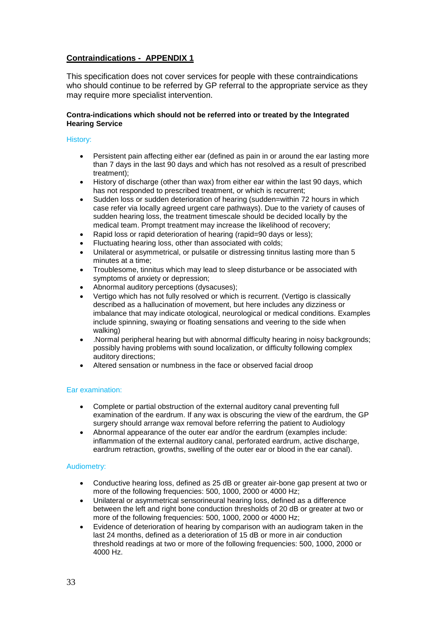## **Contraindications - APPENDIX 1**

This specification does not cover services for people with these contraindications who should continue to be referred by GP referral to the appropriate service as they may require more specialist intervention.

#### **Contra-indications which should not be referred into or treated by the Integrated Hearing Service**

#### History:

- Persistent pain affecting either ear (defined as pain in or around the ear lasting more than 7 days in the last 90 days and which has not resolved as a result of prescribed treatment);
- History of discharge (other than wax) from either ear within the last 90 days, which has not responded to prescribed treatment, or which is recurrent;
- Sudden loss or sudden deterioration of hearing (sudden=within 72 hours in which case refer via locally agreed urgent care pathways). Due to the variety of causes of sudden hearing loss, the treatment timescale should be decided locally by the medical team. Prompt treatment may increase the likelihood of recovery;
- Rapid loss or rapid deterioration of hearing (rapid=90 days or less);
- Fluctuating hearing loss, other than associated with colds;
- Unilateral or asymmetrical, or pulsatile or distressing tinnitus lasting more than 5 minutes at a time;
- Troublesome, tinnitus which may lead to sleep disturbance or be associated with symptoms of anxiety or depression;
- Abnormal auditory perceptions (dysacuses);
- Vertigo which has not fully resolved or which is recurrent. (Vertigo is classically described as a hallucination of movement, but here includes any dizziness or imbalance that may indicate otological, neurological or medical conditions. Examples include spinning, swaying or floating sensations and veering to the side when walking)
- .Normal peripheral hearing but with abnormal difficulty hearing in noisy backgrounds; possibly having problems with sound localization, or difficulty following complex auditory directions;
- Altered sensation or numbness in the face or observed facial droop

#### Ear examination:

- Complete or partial obstruction of the external auditory canal preventing full examination of the eardrum. If any wax is obscuring the view of the eardrum, the GP surgery should arrange wax removal before referring the patient to Audiology
- Abnormal appearance of the outer ear and/or the eardrum (examples include: inflammation of the external auditory canal, perforated eardrum, active discharge, eardrum retraction, growths, swelling of the outer ear or blood in the ear canal).

#### Audiometry:

- Conductive hearing loss, defined as 25 dB or greater air-bone gap present at two or more of the following frequencies: 500, 1000, 2000 or 4000 Hz;
- Unilateral or asymmetrical sensorineural hearing loss, defined as a difference between the left and right bone conduction thresholds of 20 dB or greater at two or more of the following frequencies: 500, 1000, 2000 or 4000 Hz;
- Evidence of deterioration of hearing by comparison with an audiogram taken in the last 24 months, defined as a deterioration of 15 dB or more in air conduction threshold readings at two or more of the following frequencies: 500, 1000, 2000 or 4000 Hz.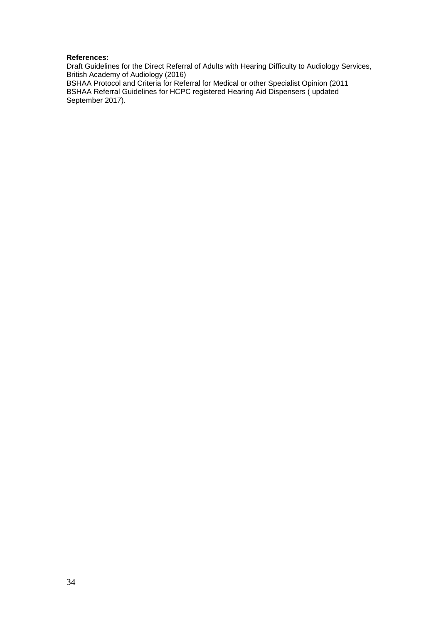#### **References:**

Draft Guidelines for the Direct Referral of Adults with Hearing Difficulty to Audiology Services, British Academy of Audiology (2016)

BSHAA Protocol and Criteria for Referral for Medical or other Specialist Opinion (2011 BSHAA Referral Guidelines for HCPC registered Hearing Aid Dispensers ( updated September 2017).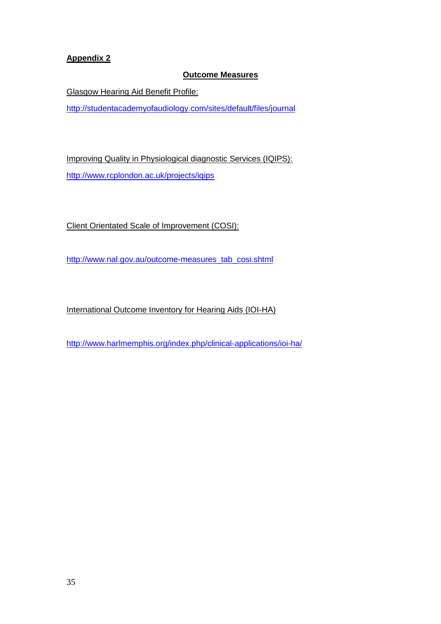# **Appendix 2**

## **Outcome Measures**

Glasgow Hearing Aid Benefit Profile:

[http://studentacademyofaudiology.com/sites/default/files/journal](http://studentacademyofaudiology.com/sites/default/files/journal/JAAA_10_02_03.pdf)

Improving Quality in Physiological diagnostic Services (IQIPS): [http://www.rcplondon.ac.uk/projects/iqips](http://www.rcplondon.ac.uk/sites/default/files/iqips-standards-and-criteria-03-06-11.pdf)

Client Orientated Scale of Improvement (COSI):

[http://www.nal.gov.au/outcome-measures\\_tab\\_cosi.shtml](http://www.nal.gov.au/outcome-measures_tab_cosi.shtml)

International Outcome Inventory for Hearing Aids (IOI-HA)

<http://www.harlmemphis.org/index.php/clinical-applications/ioi-ha/>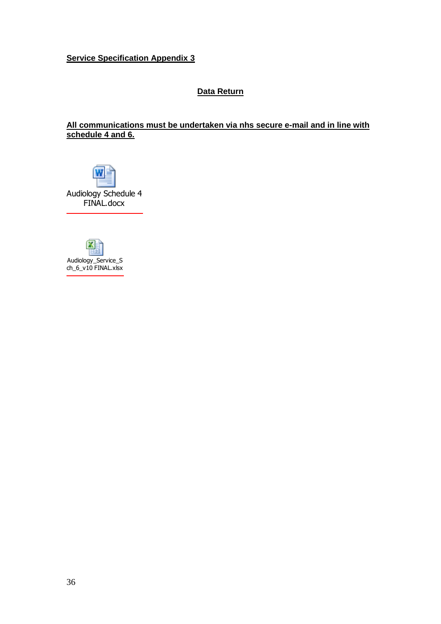# **Service Specification Appendix 3**

## **Data Return**

# **All communications must be undertaken via nhs secure e-mail and in line with schedule 4 and 6.**

Audiology Schedule 4 FINAL.docx

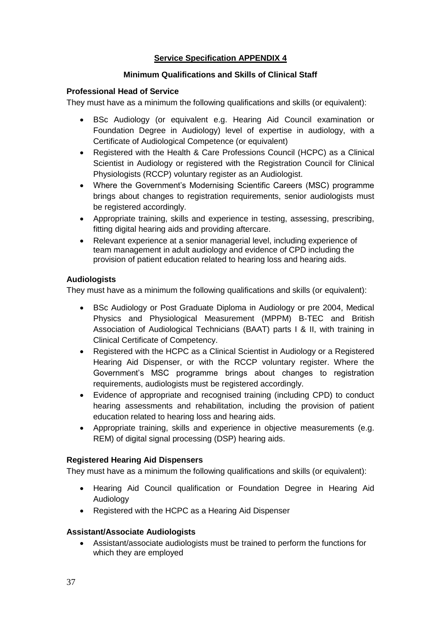# **Service Specification APPENDIX 4**

## **Minimum Qualifications and Skills of Clinical Staff**

#### **Professional Head of Service**

They must have as a minimum the following qualifications and skills (or equivalent):

- BSc Audiology (or equivalent e.g. Hearing Aid Council examination or Foundation Degree in Audiology) level of expertise in audiology, with a Certificate of Audiological Competence (or equivalent)
- Registered with the Health & Care Professions Council (HCPC) as a Clinical Scientist in Audiology or registered with the Registration Council for Clinical Physiologists (RCCP) voluntary register as an Audiologist.
- Where the Government's Modernising Scientific Careers (MSC) programme brings about changes to registration requirements, senior audiologists must be registered accordingly.
- Appropriate training, skills and experience in testing, assessing, prescribing, fitting digital hearing aids and providing aftercare.
- Relevant experience at a senior managerial level, including experience of team management in adult audiology and evidence of CPD including the provision of patient education related to hearing loss and hearing aids.

#### **Audiologists**

They must have as a minimum the following qualifications and skills (or equivalent):

- BSc Audiology or Post Graduate Diploma in Audiology or pre 2004, Medical Physics and Physiological Measurement (MPPM) B-TEC and British Association of Audiological Technicians (BAAT) parts I & II, with training in Clinical Certificate of Competency.
- Registered with the HCPC as a Clinical Scientist in Audiology or a Registered Hearing Aid Dispenser, or with the RCCP voluntary register. Where the Government's MSC programme brings about changes to registration requirements, audiologists must be registered accordingly.
- Evidence of appropriate and recognised training (including CPD) to conduct hearing assessments and rehabilitation, including the provision of patient education related to hearing loss and hearing aids.
- Appropriate training, skills and experience in objective measurements (e.g. REM) of digital signal processing (DSP) hearing aids.

#### **Registered Hearing Aid Dispensers**

They must have as a minimum the following qualifications and skills (or equivalent):

- Hearing Aid Council qualification or Foundation Degree in Hearing Aid Audiology
- Registered with the HCPC as a Hearing Aid Dispenser

#### **Assistant/Associate Audiologists**

 Assistant/associate audiologists must be trained to perform the functions for which they are employed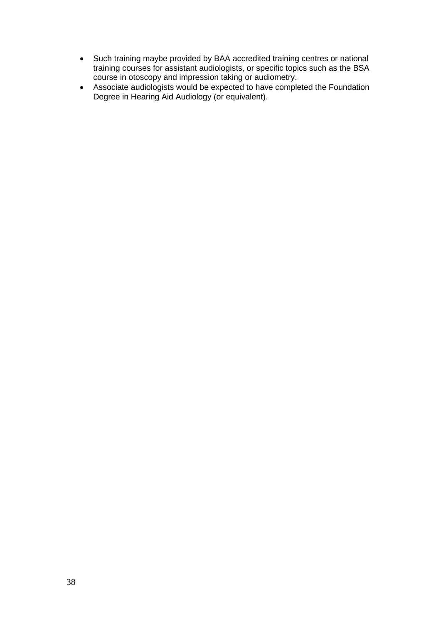- Such training maybe provided by BAA accredited training centres or national training courses for assistant audiologists, or specific topics such as the BSA course in otoscopy and impression taking or audiometry.
- Associate audiologists would be expected to have completed the Foundation Degree in Hearing Aid Audiology (or equivalent).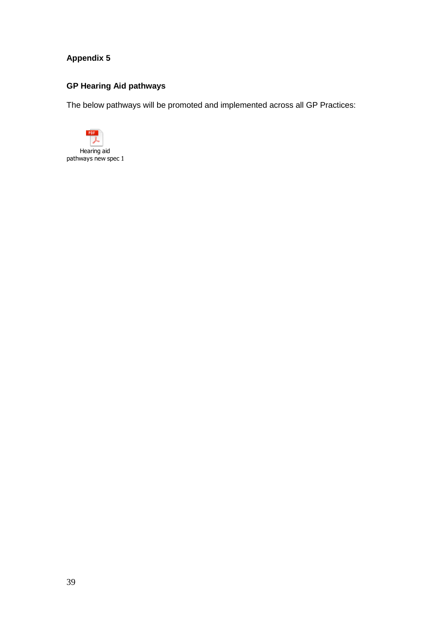# **Appendix 5**

# **GP Hearing Aid pathways**

The below pathways will be promoted and implemented across all GP Practices:

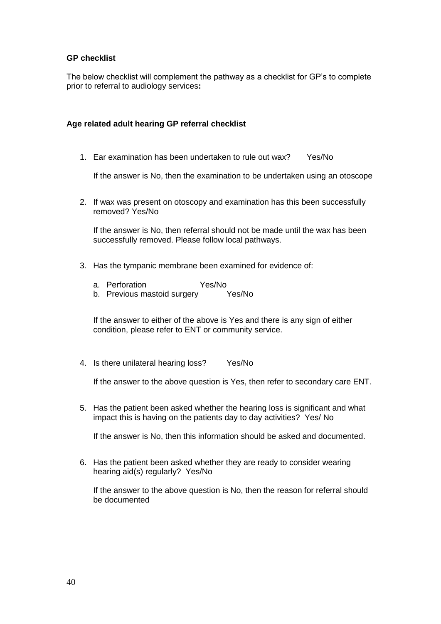# **GP checklist**

The below checklist will complement the pathway as a checklist for GP's to complete prior to referral to audiology services**:**

#### **Age related adult hearing GP referral checklist**

1. Ear examination has been undertaken to rule out wax? Yes/No

If the answer is No, then the examination to be undertaken using an otoscope

2. If wax was present on otoscopy and examination has this been successfully removed? Yes/No

If the answer is No, then referral should not be made until the wax has been successfully removed. Please follow local pathways.

- 3. Has the tympanic membrane been examined for evidence of:
	- a. Perforation Yes/No
	- b. Previous mastoid surgery Yes/No

If the answer to either of the above is Yes and there is any sign of either condition, please refer to ENT or community service.

4. Is there unilateral hearing loss? Yes/No

If the answer to the above question is Yes, then refer to secondary care ENT.

5. Has the patient been asked whether the hearing loss is significant and what impact this is having on the patients day to day activities? Yes/ No

If the answer is No, then this information should be asked and documented.

6. Has the patient been asked whether they are ready to consider wearing hearing aid(s) regularly? Yes/No

If the answer to the above question is No, then the reason for referral should be documented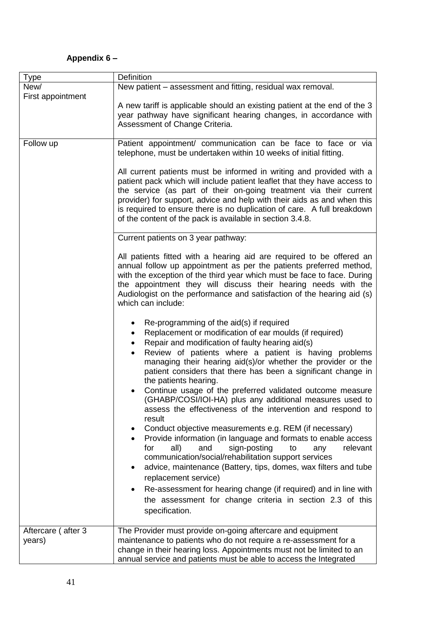# **Appendix 6 –**

| <b>Type</b>                  | <b>Definition</b>                                                                                                                                                                                                                                                                                                                                                                                                                                                                                                                                                                                                                                                                                                                                                                                                                                                                                                                                                                                                                                                                                               |  |  |
|------------------------------|-----------------------------------------------------------------------------------------------------------------------------------------------------------------------------------------------------------------------------------------------------------------------------------------------------------------------------------------------------------------------------------------------------------------------------------------------------------------------------------------------------------------------------------------------------------------------------------------------------------------------------------------------------------------------------------------------------------------------------------------------------------------------------------------------------------------------------------------------------------------------------------------------------------------------------------------------------------------------------------------------------------------------------------------------------------------------------------------------------------------|--|--|
| New/                         | New patient – assessment and fitting, residual wax removal.                                                                                                                                                                                                                                                                                                                                                                                                                                                                                                                                                                                                                                                                                                                                                                                                                                                                                                                                                                                                                                                     |  |  |
| First appointment            |                                                                                                                                                                                                                                                                                                                                                                                                                                                                                                                                                                                                                                                                                                                                                                                                                                                                                                                                                                                                                                                                                                                 |  |  |
|                              | A new tariff is applicable should an existing patient at the end of the 3<br>year pathway have significant hearing changes, in accordance with<br>Assessment of Change Criteria.                                                                                                                                                                                                                                                                                                                                                                                                                                                                                                                                                                                                                                                                                                                                                                                                                                                                                                                                |  |  |
| Follow up                    | Patient appointment/ communication can be face to face or via<br>telephone, must be undertaken within 10 weeks of initial fitting.                                                                                                                                                                                                                                                                                                                                                                                                                                                                                                                                                                                                                                                                                                                                                                                                                                                                                                                                                                              |  |  |
|                              | All current patients must be informed in writing and provided with a<br>patient pack which will include patient leaflet that they have access to<br>the service (as part of their on-going treatment via their current<br>provider) for support, advice and help with their aids as and when this<br>is required to ensure there is no duplication of care. A full breakdown<br>of the content of the pack is available in section 3.4.8.                                                                                                                                                                                                                                                                                                                                                                                                                                                                                                                                                                                                                                                                       |  |  |
|                              | Current patients on 3 year pathway:                                                                                                                                                                                                                                                                                                                                                                                                                                                                                                                                                                                                                                                                                                                                                                                                                                                                                                                                                                                                                                                                             |  |  |
|                              | All patients fitted with a hearing aid are required to be offered an<br>annual follow up appointment as per the patients preferred method,<br>with the exception of the third year which must be face to face. During<br>the appointment they will discuss their hearing needs with the<br>Audiologist on the performance and satisfaction of the hearing aid (s)<br>which can include:                                                                                                                                                                                                                                                                                                                                                                                                                                                                                                                                                                                                                                                                                                                         |  |  |
|                              | Re-programming of the aid(s) if required<br>$\bullet$<br>Replacement or modification of ear moulds (if required)<br>$\bullet$<br>Repair and modification of faulty hearing aid(s)<br>٠<br>Review of patients where a patient is having problems<br>managing their hearing aid(s)/or whether the provider or the<br>patient considers that there has been a significant change in<br>the patients hearing.<br>Continue usage of the preferred validated outcome measure<br>(GHABP/COSI/IOI-HA) plus any additional measures used to<br>assess the effectiveness of the intervention and respond to<br>result<br>Conduct objective measurements e.g. REM (if necessary)<br>٠<br>Provide information (in language and formats to enable access<br>sign-posting<br>for<br>all)<br>and<br>to<br>relevant<br>any<br>communication/social/rehabilitation support services<br>advice, maintenance (Battery, tips, domes, wax filters and tube<br>replacement service)<br>Re-assessment for hearing change (if required) and in line with<br>the assessment for change criteria in section 2.3 of this<br>specification. |  |  |
| Aftercare (after 3<br>years) | The Provider must provide on-going aftercare and equipment<br>maintenance to patients who do not require a re-assessment for a<br>change in their hearing loss. Appointments must not be limited to an<br>annual service and patients must be able to access the Integrated                                                                                                                                                                                                                                                                                                                                                                                                                                                                                                                                                                                                                                                                                                                                                                                                                                     |  |  |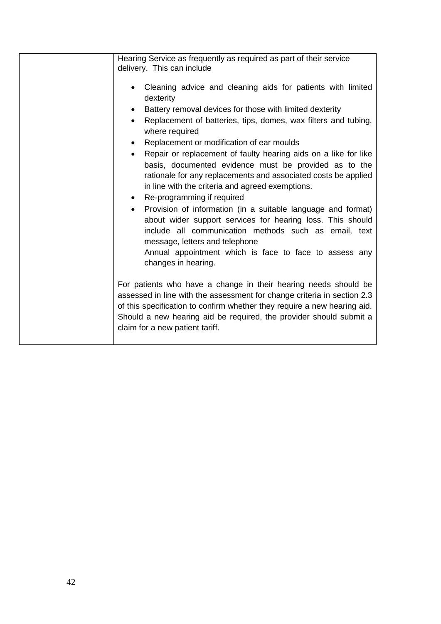| Hearing Service as frequently as required as part of their service<br>delivery. This can include                                                                                                                                                                                                                                |
|---------------------------------------------------------------------------------------------------------------------------------------------------------------------------------------------------------------------------------------------------------------------------------------------------------------------------------|
| Cleaning advice and cleaning aids for patients with limited<br>dexterity                                                                                                                                                                                                                                                        |
| Battery removal devices for those with limited dexterity                                                                                                                                                                                                                                                                        |
| Replacement of batteries, tips, domes, wax filters and tubing,<br>$\bullet$<br>where required                                                                                                                                                                                                                                   |
| Replacement or modification of ear moulds<br>$\bullet$                                                                                                                                                                                                                                                                          |
| Repair or replacement of faulty hearing aids on a like for like<br>$\bullet$<br>basis, documented evidence must be provided as to the<br>rationale for any replacements and associated costs be applied<br>in line with the criteria and agreed exemptions.<br>Re-programming if required<br>$\bullet$                          |
| Provision of information (in a suitable language and format)<br>$\bullet$<br>about wider support services for hearing loss. This should<br>include all communication methods such as email, text<br>message, letters and telephone<br>Annual appointment which is face to face to assess any<br>changes in hearing.             |
| For patients who have a change in their hearing needs should be<br>assessed in line with the assessment for change criteria in section 2.3<br>of this specification to confirm whether they require a new hearing aid.<br>Should a new hearing aid be required, the provider should submit a<br>claim for a new patient tariff. |
|                                                                                                                                                                                                                                                                                                                                 |